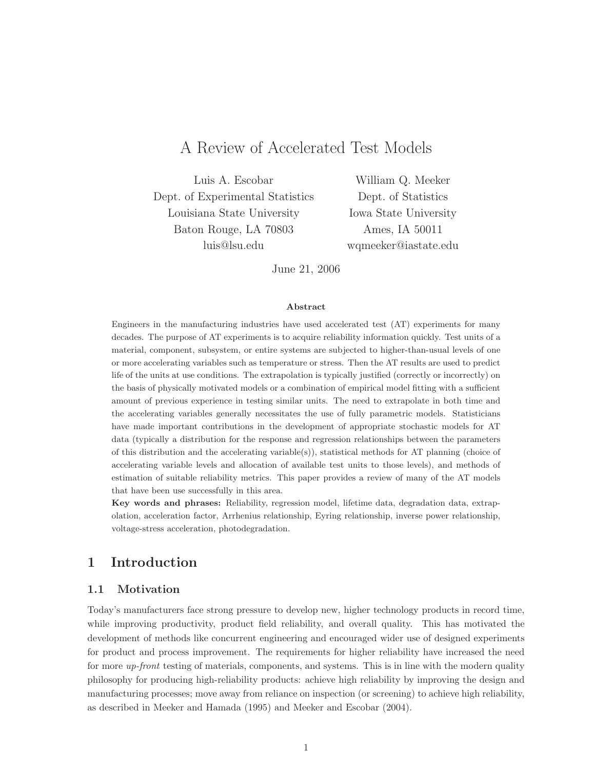# A Review of Accelerated Test Models

Luis A. Escobar Dept. of Experimental Statistics Louisiana State University Baton Rouge, LA 70803 luis@lsu.edu

William Q. Meeker Dept. of Statistics Iowa State University Ames, IA 50011 wqmeeker@iastate.edu

June 21, 2006

#### Abstract

Engineers in the manufacturing industries have used accelerated test (AT) experiments for many decades. The purpose of AT experiments is to acquire reliability information quickly. Test units of a material, component, subsystem, or entire systems are subjected to higher-than-usual levels of one or more accelerating variables such as temperature or stress. Then the AT results are used to predict life of the units at use conditions. The extrapolation is typically justified (correctly or incorrectly) on the basis of physically motivated models or a combination of empirical model fitting with a sufficient amount of previous experience in testing similar units. The need to extrapolate in both time and the accelerating variables generally necessitates the use of fully parametric models. Statisticians have made important contributions in the development of appropriate stochastic models for AT data (typically a distribution for the response and regression relationships between the parameters of this distribution and the accelerating variable(s)), statistical methods for AT planning (choice of accelerating variable levels and allocation of available test units to those levels), and methods of estimation of suitable reliability metrics. This paper provides a review of many of the AT models that have been use successfully in this area.

Key words and phrases: Reliability, regression model, lifetime data, degradation data, extrapolation, acceleration factor, Arrhenius relationship, Eyring relationship, inverse power relationship, voltage-stress acceleration, photodegradation.

# 1 Introduction

# 1.1 Motivation

Today's manufacturers face strong pressure to develop new, higher technology products in record time, while improving productivity, product field reliability, and overall quality. This has motivated the development of methods like concurrent engineering and encouraged wider use of designed experiments for product and process improvement. The requirements for higher reliability have increased the need for more up-front testing of materials, components, and systems. This is in line with the modern quality philosophy for producing high-reliability products: achieve high reliability by improving the design and manufacturing processes; move away from reliance on inspection (or screening) to achieve high reliability, as described in Meeker and Hamada (1995) and Meeker and Escobar (2004).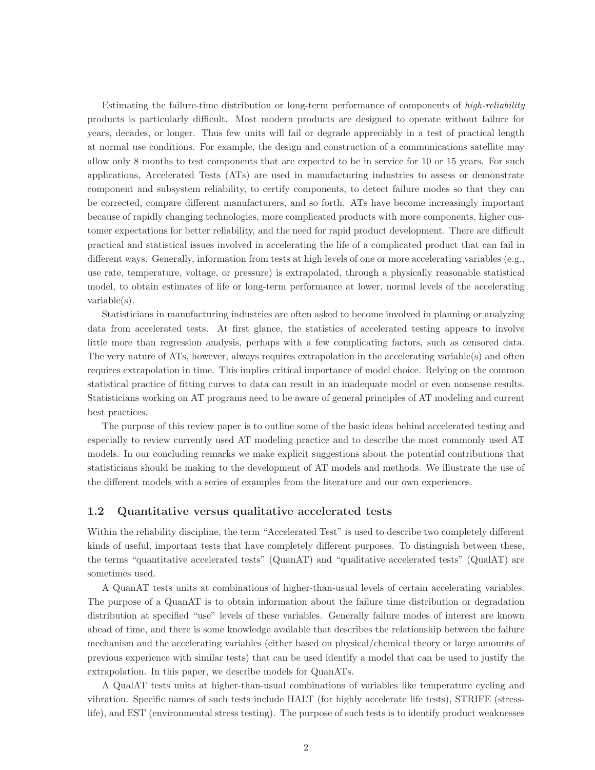Estimating the failure-time distribution or long-term performance of components of high-reliability products is particularly difficult. Most modern products are designed to operate without failure for years, decades, or longer. Thus few units will fail or degrade appreciably in a test of practical length at normal use conditions. For example, the design and construction of a communications satellite may allow only 8 months to test components that are expected to be in service for 10 or 15 years. For such applications, Accelerated Tests (ATs) are used in manufacturing industries to assess or demonstrate component and subsystem reliability, to certify components, to detect failure modes so that they can be corrected, compare different manufacturers, and so forth. ATs have become increasingly important because of rapidly changing technologies, more complicated products with more components, higher customer expectations for better reliability, and the need for rapid product development. There are difficult practical and statistical issues involved in accelerating the life of a complicated product that can fail in different ways. Generally, information from tests at high levels of one or more accelerating variables (e.g., use rate, temperature, voltage, or pressure) is extrapolated, through a physically reasonable statistical model, to obtain estimates of life or long-term performance at lower, normal levels of the accelerating variable(s).

Statisticians in manufacturing industries are often asked to become involved in planning or analyzing data from accelerated tests. At first glance, the statistics of accelerated testing appears to involve little more than regression analysis, perhaps with a few complicating factors, such as censored data. The very nature of ATs, however, always requires extrapolation in the accelerating variable(s) and often requires extrapolation in time. This implies critical importance of model choice. Relying on the common statistical practice of fitting curves to data can result in an inadequate model or even nonsense results. Statisticians working on AT programs need to be aware of general principles of AT modeling and current best practices.

The purpose of this review paper is to outline some of the basic ideas behind accelerated testing and especially to review currently used AT modeling practice and to describe the most commonly used AT models. In our concluding remarks we make explicit suggestions about the potential contributions that statisticians should be making to the development of AT models and methods. We illustrate the use of the different models with a series of examples from the literature and our own experiences.

## 1.2 Quantitative versus qualitative accelerated tests

Within the reliability discipline, the term "Accelerated Test" is used to describe two completely different kinds of useful, important tests that have completely different purposes. To distinguish between these, the terms "quantitative accelerated tests" (QuanAT) and "qualitative accelerated tests" (QualAT) are sometimes used.

A QuanAT tests units at combinations of higher-than-usual levels of certain accelerating variables. The purpose of a QuanAT is to obtain information about the failure time distribution or degradation distribution at specified "use" levels of these variables. Generally failure modes of interest are known ahead of time, and there is some knowledge available that describes the relationship between the failure mechanism and the accelerating variables (either based on physical/chemical theory or large amounts of previous experience with similar tests) that can be used identify a model that can be used to justify the extrapolation. In this paper, we describe models for QuanATs.

A QualAT tests units at higher-than-usual combinations of variables like temperature cycling and vibration. Specific names of such tests include HALT (for highly accelerate life tests), STRIFE (stresslife), and EST (environmental stress testing). The purpose of such tests is to identify product weaknesses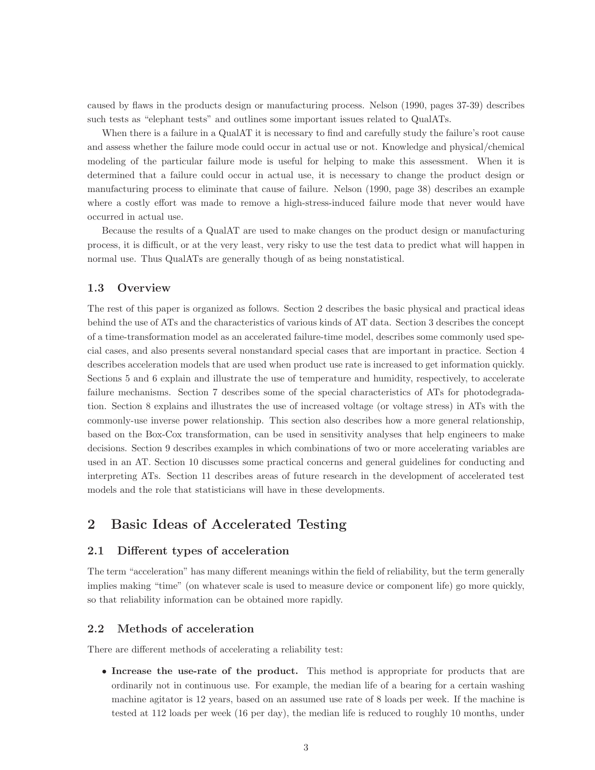caused by flaws in the products design or manufacturing process. Nelson (1990, pages 37-39) describes such tests as "elephant tests" and outlines some important issues related to QualATs.

When there is a failure in a QualAT it is necessary to find and carefully study the failure's root cause and assess whether the failure mode could occur in actual use or not. Knowledge and physical/chemical modeling of the particular failure mode is useful for helping to make this assessment. When it is determined that a failure could occur in actual use, it is necessary to change the product design or manufacturing process to eliminate that cause of failure. Nelson (1990, page 38) describes an example where a costly effort was made to remove a high-stress-induced failure mode that never would have occurred in actual use.

Because the results of a QualAT are used to make changes on the product design or manufacturing process, it is difficult, or at the very least, very risky to use the test data to predict what will happen in normal use. Thus QualATs are generally though of as being nonstatistical.

# 1.3 Overview

The rest of this paper is organized as follows. Section 2 describes the basic physical and practical ideas behind the use of ATs and the characteristics of various kinds of AT data. Section 3 describes the concept of a time-transformation model as an accelerated failure-time model, describes some commonly used special cases, and also presents several nonstandard special cases that are important in practice. Section 4 describes acceleration models that are used when product use rate is increased to get information quickly. Sections 5 and 6 explain and illustrate the use of temperature and humidity, respectively, to accelerate failure mechanisms. Section 7 describes some of the special characteristics of ATs for photodegradation. Section 8 explains and illustrates the use of increased voltage (or voltage stress) in ATs with the commonly-use inverse power relationship. This section also describes how a more general relationship, based on the Box-Cox transformation, can be used in sensitivity analyses that help engineers to make decisions. Section 9 describes examples in which combinations of two or more accelerating variables are used in an AT. Section 10 discusses some practical concerns and general guidelines for conducting and interpreting ATs. Section 11 describes areas of future research in the development of accelerated test models and the role that statisticians will have in these developments.

# 2 Basic Ideas of Accelerated Testing

# 2.1 Different types of acceleration

The term "acceleration" has many different meanings within the field of reliability, but the term generally implies making "time" (on whatever scale is used to measure device or component life) go more quickly, so that reliability information can be obtained more rapidly.

# 2.2 Methods of acceleration

There are different methods of accelerating a reliability test:

• Increase the use-rate of the product. This method is appropriate for products that are ordinarily not in continuous use. For example, the median life of a bearing for a certain washing machine agitator is 12 years, based on an assumed use rate of 8 loads per week. If the machine is tested at 112 loads per week (16 per day), the median life is reduced to roughly 10 months, under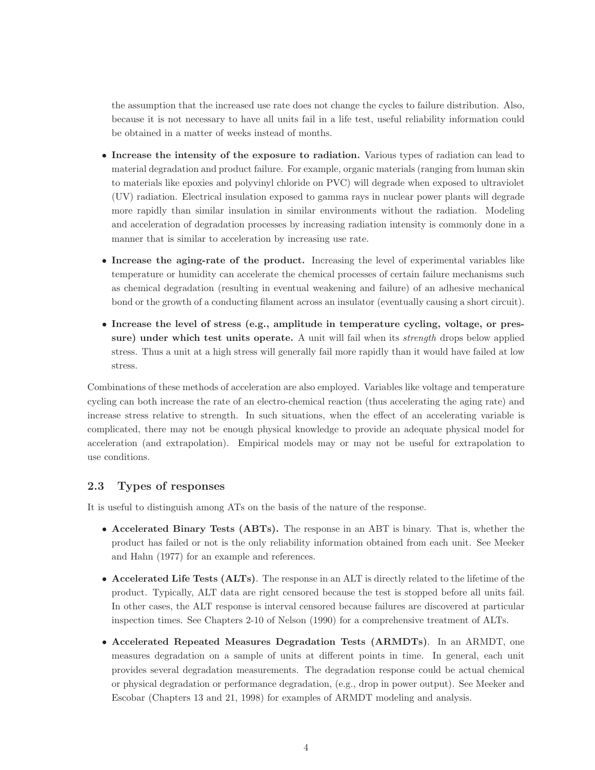the assumption that the increased use rate does not change the cycles to failure distribution. Also, because it is not necessary to have all units fail in a life test, useful reliability information could be obtained in a matter of weeks instead of months.

- Increase the intensity of the exposure to radiation. Various types of radiation can lead to material degradation and product failure. For example, organic materials (ranging from human skin to materials like epoxies and polyvinyl chloride on PVC) will degrade when exposed to ultraviolet (UV) radiation. Electrical insulation exposed to gamma rays in nuclear power plants will degrade more rapidly than similar insulation in similar environments without the radiation. Modeling and acceleration of degradation processes by increasing radiation intensity is commonly done in a manner that is similar to acceleration by increasing use rate.
- Increase the aging-rate of the product. Increasing the level of experimental variables like temperature or humidity can accelerate the chemical processes of certain failure mechanisms such as chemical degradation (resulting in eventual weakening and failure) of an adhesive mechanical bond or the growth of a conducting filament across an insulator (eventually causing a short circuit).
- Increase the level of stress (e.g., amplitude in temperature cycling, voltage, or pressure) under which test units operate. A unit will fail when its *strength* drops below applied stress. Thus a unit at a high stress will generally fail more rapidly than it would have failed at low stress.

Combinations of these methods of acceleration are also employed. Variables like voltage and temperature cycling can both increase the rate of an electro-chemical reaction (thus accelerating the aging rate) and increase stress relative to strength. In such situations, when the effect of an accelerating variable is complicated, there may not be enough physical knowledge to provide an adequate physical model for acceleration (and extrapolation). Empirical models may or may not be useful for extrapolation to use conditions.

# 2.3 Types of responses

It is useful to distinguish among ATs on the basis of the nature of the response.

- Accelerated Binary Tests (ABTs). The response in an ABT is binary. That is, whether the product has failed or not is the only reliability information obtained from each unit. See Meeker and Hahn (1977) for an example and references.
- Accelerated Life Tests (ALTs). The response in an ALT is directly related to the lifetime of the product. Typically, ALT data are right censored because the test is stopped before all units fail. In other cases, the ALT response is interval censored because failures are discovered at particular inspection times. See Chapters 2-10 of Nelson (1990) for a comprehensive treatment of ALTs.
- Accelerated Repeated Measures Degradation Tests (ARMDTs). In an ARMDT, one measures degradation on a sample of units at different points in time. In general, each unit provides several degradation measurements. The degradation response could be actual chemical or physical degradation or performance degradation, (e.g., drop in power output). See Meeker and Escobar (Chapters 13 and 21, 1998) for examples of ARMDT modeling and analysis.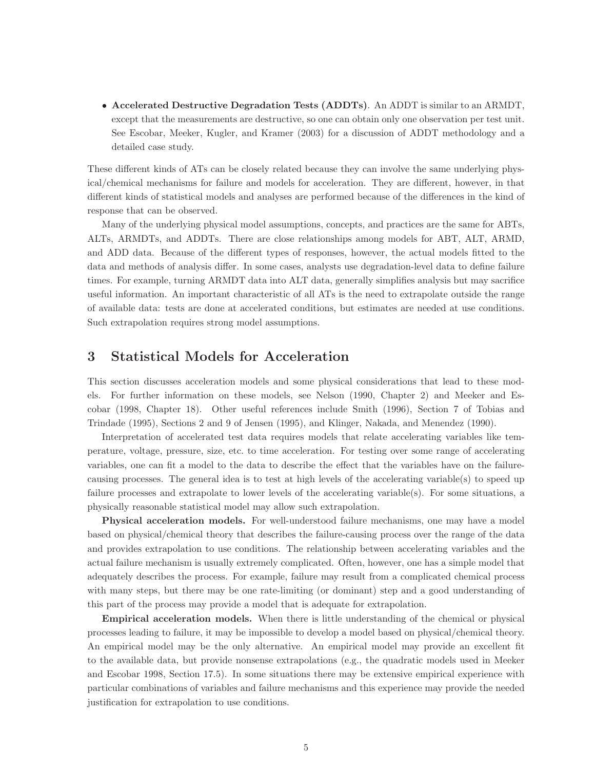• Accelerated Destructive Degradation Tests (ADDTs). An ADDT is similar to an ARMDT, except that the measurements are destructive, so one can obtain only one observation per test unit. See Escobar, Meeker, Kugler, and Kramer (2003) for a discussion of ADDT methodology and a detailed case study.

These different kinds of ATs can be closely related because they can involve the same underlying physical/chemical mechanisms for failure and models for acceleration. They are different, however, in that different kinds of statistical models and analyses are performed because of the differences in the kind of response that can be observed.

Many of the underlying physical model assumptions, concepts, and practices are the same for ABTs, ALTs, ARMDTs, and ADDTs. There are close relationships among models for ABT, ALT, ARMD, and ADD data. Because of the different types of responses, however, the actual models fitted to the data and methods of analysis differ. In some cases, analysts use degradation-level data to define failure times. For example, turning ARMDT data into ALT data, generally simplifies analysis but may sacrifice useful information. An important characteristic of all ATs is the need to extrapolate outside the range of available data: tests are done at accelerated conditions, but estimates are needed at use conditions. Such extrapolation requires strong model assumptions.

# 3 Statistical Models for Acceleration

This section discusses acceleration models and some physical considerations that lead to these models. For further information on these models, see Nelson (1990, Chapter 2) and Meeker and Escobar (1998, Chapter 18). Other useful references include Smith (1996), Section 7 of Tobias and Trindade (1995), Sections 2 and 9 of Jensen (1995), and Klinger, Nakada, and Menendez (1990).

Interpretation of accelerated test data requires models that relate accelerating variables like temperature, voltage, pressure, size, etc. to time acceleration. For testing over some range of accelerating variables, one can fit a model to the data to describe the effect that the variables have on the failurecausing processes. The general idea is to test at high levels of the accelerating variable(s) to speed up failure processes and extrapolate to lower levels of the accelerating variable(s). For some situations, a physically reasonable statistical model may allow such extrapolation.

Physical acceleration models. For well-understood failure mechanisms, one may have a model based on physical/chemical theory that describes the failure-causing process over the range of the data and provides extrapolation to use conditions. The relationship between accelerating variables and the actual failure mechanism is usually extremely complicated. Often, however, one has a simple model that adequately describes the process. For example, failure may result from a complicated chemical process with many steps, but there may be one rate-limiting (or dominant) step and a good understanding of this part of the process may provide a model that is adequate for extrapolation.

Empirical acceleration models. When there is little understanding of the chemical or physical processes leading to failure, it may be impossible to develop a model based on physical/chemical theory. An empirical model may be the only alternative. An empirical model may provide an excellent fit to the available data, but provide nonsense extrapolations (e.g., the quadratic models used in Meeker and Escobar 1998, Section 17.5). In some situations there may be extensive empirical experience with particular combinations of variables and failure mechanisms and this experience may provide the needed justification for extrapolation to use conditions.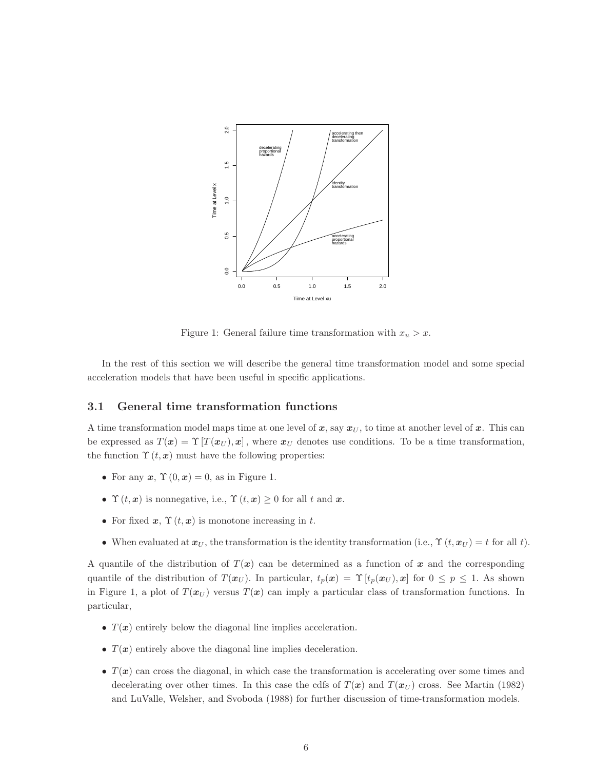

Figure 1: General failure time transformation with  $x_u > x$ .

In the rest of this section we will describe the general time transformation model and some special acceleration models that have been useful in specific applications.

### 3.1 General time transformation functions

A time transformation model maps time at one level of x, say  $x_U$ , to time at another level of x. This can be expressed as  $T(x) = \Upsilon[T(x_U), x]$ , where  $x_U$  denotes use conditions. To be a time transformation, the function  $\Upsilon(t, x)$  must have the following properties:

- For any  $x, \Upsilon(0, x) = 0$ , as in Figure 1.
- $\Upsilon(t, x)$  is nonnegative, i.e.,  $\Upsilon(t, x) \geq 0$  for all t and x.
- For fixed  $x, \Upsilon(t, x)$  is monotone increasing in t.
- When evaluated at  $x_U$ , the transformation is the identity transformation (i.e.,  $\Upsilon(t, x_U) = t$  for all t).

A quantile of the distribution of  $T(x)$  can be determined as a function of x and the corresponding quantile of the distribution of  $T(\boldsymbol{x}_U)$ . In particular,  $t_p(\boldsymbol{x}) = \Upsilon[t_p(\boldsymbol{x}_U), \boldsymbol{x}]$  for  $0 \leq p \leq 1$ . As shown in Figure 1, a plot of  $T(x_U)$  versus  $T(x)$  can imply a particular class of transformation functions. In particular,

- $T(x)$  entirely below the diagonal line implies acceleration.
- $T(x)$  entirely above the diagonal line implies deceleration.
- $T(x)$  can cross the diagonal, in which case the transformation is accelerating over some times and decelerating over other times. In this case the cdfs of  $T(x)$  and  $T(x_U)$  cross. See Martin (1982) and LuValle, Welsher, and Svoboda (1988) for further discussion of time-transformation models.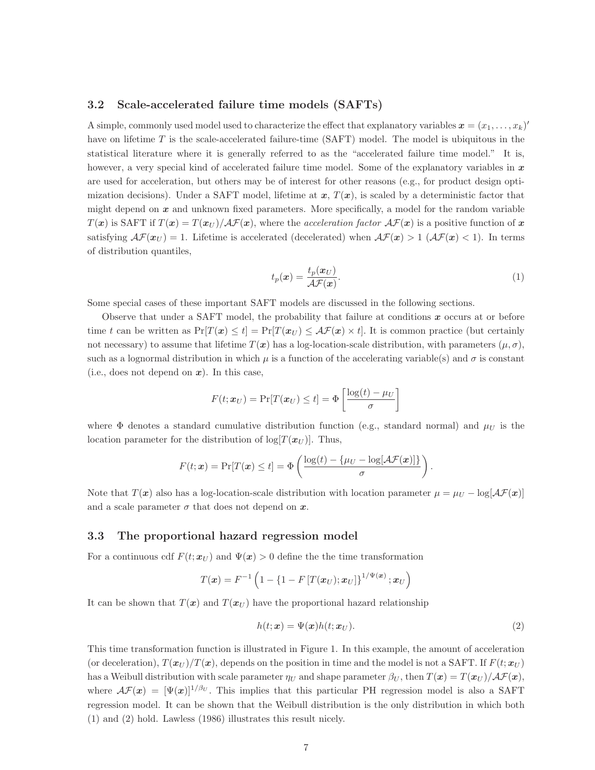### 3.2 Scale-accelerated failure time models (SAFTs)

A simple, commonly used model used to characterize the effect that explanatory variables  $\mathbf{x} = (x_1, \ldots, x_k)$ have on lifetime  $T$  is the scale-accelerated failure-time (SAFT) model. The model is ubiquitous in the statistical literature where it is generally referred to as the "accelerated failure time model." It is, however, a very special kind of accelerated failure time model. Some of the explanatory variables in  $x$ are used for acceleration, but others may be of interest for other reasons (e.g., for product design optimization decisions). Under a SAFT model, lifetime at  $x, T(x)$ , is scaled by a deterministic factor that might depend on  $x$  and unknown fixed parameters. More specifically, a model for the random variable  $T(x)$  is SAFT if  $T(x) = T(x_U)/\mathcal{AF}(x)$ , where the acceleration factor  $\mathcal{AF}(x)$  is a positive function of x satisfying  $\mathcal{AF}(x_U) = 1$ . Lifetime is accelerated (decelerated) when  $\mathcal{AF}(x) > 1$  ( $\mathcal{AF}(x) < 1$ ). In terms of distribution quantiles,

$$
t_p(\boldsymbol{x}) = \frac{t_p(\boldsymbol{x}_U)}{\mathcal{A}\mathcal{F}(\boldsymbol{x})}.\tag{1}
$$

.

Some special cases of these important SAFT models are discussed in the following sections.

Observe that under a SAFT model, the probability that failure at conditions  $x$  occurs at or before time t can be written as  $Pr[T(x) \leq t] = Pr[T(x_U) \leq \mathcal{AF}(x) \times t]$ . It is common practice (but certainly not necessary) to assume that lifetime  $T(x)$  has a log-location-scale distribution, with parameters  $(\mu, \sigma)$ , such as a lognormal distribution in which  $\mu$  is a function of the accelerating variable(s) and  $\sigma$  is constant (i.e., does not depend on  $x$ ). In this case,

$$
F(t; \boldsymbol{x}_U) = \Pr[T(\boldsymbol{x}_U) \le t] = \Phi\left[\frac{\log(t) - \mu_U}{\sigma}\right]
$$

where  $\Phi$  denotes a standard cumulative distribution function (e.g., standard normal) and  $\mu_U$  is the location parameter for the distribution of log[ $T(\boldsymbol{x}_U)$ ]. Thus,

$$
F(t; \mathbf{x}) = \Pr[T(\mathbf{x}) \le t] = \Phi\left(\frac{\log(t) - \{\mu_U - \log[\mathcal{A}\mathcal{F}(\mathbf{x})]\}}{\sigma}\right)
$$

Note that  $T(x)$  also has a log-location-scale distribution with location parameter  $\mu = \mu_U - \log[\mathcal{AF}(x)]$ and a scale parameter  $\sigma$  that does not depend on  $x$ .

#### 3.3 The proportional hazard regression model

For a continuous cdf  $F(t; x_U)$  and  $\Psi(x) > 0$  define the time transformation

$$
T(\boldsymbol{x}) = F^{-1}\left(1 - \left\{1 - F\left[T(\boldsymbol{x}_U); \boldsymbol{x}_U\right]\right\}^{1/\Psi(\boldsymbol{x})}; \boldsymbol{x}_U\right)
$$

It can be shown that  $T(x)$  and  $T(x_U)$  have the proportional hazard relationship

$$
h(t; \mathbf{x}) = \Psi(\mathbf{x})h(t; \mathbf{x}_U). \tag{2}
$$

This time transformation function is illustrated in Figure 1. In this example, the amount of acceleration (or deceleration),  $T(\mathbf{x}_U)/T(\mathbf{x})$ , depends on the position in time and the model is not a SAFT. If  $F(t; \mathbf{x}_U)$ has a Weibull distribution with scale parameter  $\eta_U$  and shape parameter  $\beta_U$ , then  $T(\mathbf{x}) = T(\mathbf{x}_U)/\mathcal{A}\mathcal{F}(\mathbf{x})$ , where  $\mathcal{AF}(x) = [\Psi(x)]^{1/\beta_U}$ . This implies that this particular PH regression model is also a SAFT regression model. It can be shown that the Weibull distribution is the only distribution in which both (1) and (2) hold. Lawless (1986) illustrates this result nicely.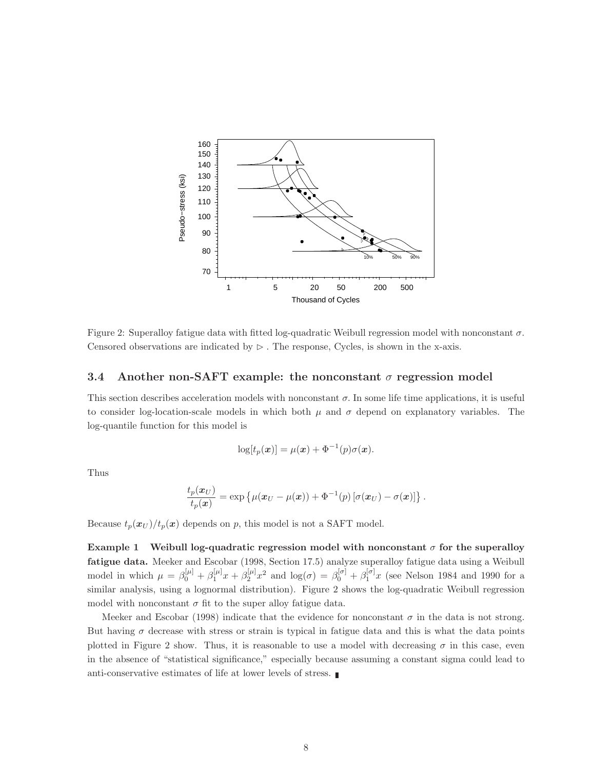

Figure 2: Superalloy fatigue data with fitted log-quadratic Weibull regression model with nonconstant  $\sigma$ . Censored observations are indicated by  $\triangleright$ . The response, Cycles, is shown in the x-axis.

### 3.4 Another non-SAFT example: the nonconstant  $\sigma$  regression model

This section describes acceleration models with nonconstant  $\sigma$ . In some life time applications, it is useful to consider log-location-scale models in which both  $\mu$  and  $\sigma$  depend on explanatory variables. The log-quantile function for this model is

$$
\log[t_p(\boldsymbol{x})] = \mu(\boldsymbol{x}) + \Phi^{-1}(p)\sigma(\boldsymbol{x}).
$$

Thus

$$
\frac{t_p(\boldsymbol{x}_U)}{t_p(\boldsymbol{x})} = \exp \left\{ \mu(\boldsymbol{x}_U - \mu(\boldsymbol{x})) + \Phi^{-1}(p) \left[ \sigma(\boldsymbol{x}_U) - \sigma(\boldsymbol{x}) \right] \right\}.
$$

Because  $t_p(x_U)/t_p(x)$  depends on p, this model is not a SAFT model.

Example 1 Weibull log-quadratic regression model with nonconstant  $\sigma$  for the superalloy fatigue data. Meeker and Escobar (1998, Section 17.5) analyze superalloy fatigue data using a Weibull model in which  $\mu = \beta_0^{[\mu]} + \beta_1^{[\mu]}x + \beta_2^{[\mu]}x^2$  and  $\log(\sigma) = \beta_0^{[\sigma]} + \beta_1^{[\sigma]}x$  (see Nelson 1984 and 1990 for a similar analysis, using a lognormal distribution). Figure 2 shows the log-quadratic Weibull regression model with nonconstant  $\sigma$  fit to the super alloy fatigue data.

Meeker and Escobar (1998) indicate that the evidence for nonconstant  $\sigma$  in the data is not strong. But having  $\sigma$  decrease with stress or strain is typical in fatigue data and this is what the data points plotted in Figure 2 show. Thus, it is reasonable to use a model with decreasing  $\sigma$  in this case, even in the absence of "statistical significance," especially because assuming a constant sigma could lead to anti-conservative estimates of life at lower levels of stress.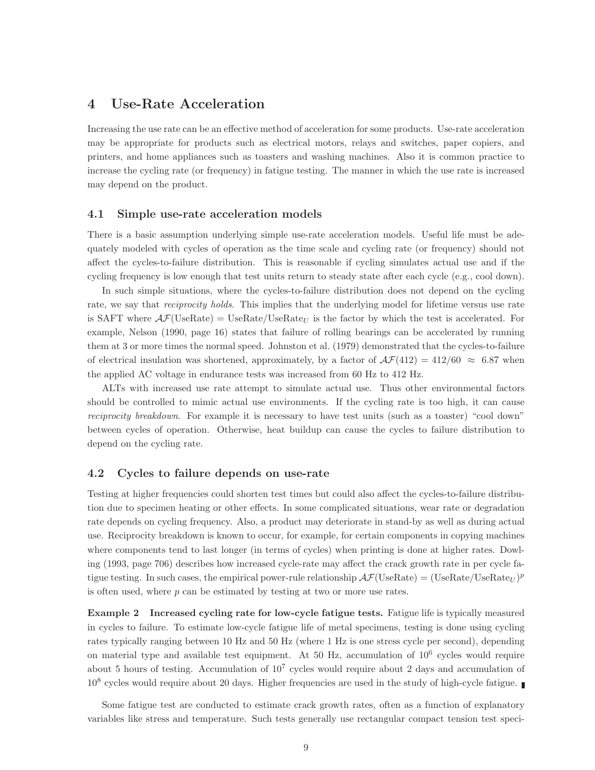# 4 Use-Rate Acceleration

Increasing the use rate can be an effective method of acceleration for some products. Use-rate acceleration may be appropriate for products such as electrical motors, relays and switches, paper copiers, and printers, and home appliances such as toasters and washing machines. Also it is common practice to increase the cycling rate (or frequency) in fatigue testing. The manner in which the use rate is increased may depend on the product.

## 4.1 Simple use-rate acceleration models

There is a basic assumption underlying simple use-rate acceleration models. Useful life must be adequately modeled with cycles of operation as the time scale and cycling rate (or frequency) should not affect the cycles-to-failure distribution. This is reasonable if cycling simulates actual use and if the cycling frequency is low enough that test units return to steady state after each cycle (e.g., cool down).

In such simple situations, where the cycles-to-failure distribution does not depend on the cycling rate, we say that *reciprocity holds*. This implies that the underlying model for lifetime versus use rate is SAFT where  $\mathcal{AF}(\text{UseRate}) = \text{UseRate}/\text{UseRate}_U$  is the factor by which the test is accelerated. For example, Nelson (1990, page 16) states that failure of rolling bearings can be accelerated by running them at 3 or more times the normal speed. Johnston et al. (1979) demonstrated that the cycles-to-failure of electrical insulation was shortened, approximately, by a factor of  $\mathcal{AF}(412) = 412/60 \approx 6.87$  when the applied AC voltage in endurance tests was increased from 60 Hz to 412 Hz.

ALTs with increased use rate attempt to simulate actual use. Thus other environmental factors should be controlled to mimic actual use environments. If the cycling rate is too high, it can cause reciprocity breakdown. For example it is necessary to have test units (such as a toaster) "cool down" between cycles of operation. Otherwise, heat buildup can cause the cycles to failure distribution to depend on the cycling rate.

## 4.2 Cycles to failure depends on use-rate

Testing at higher frequencies could shorten test times but could also affect the cycles-to-failure distribution due to specimen heating or other effects. In some complicated situations, wear rate or degradation rate depends on cycling frequency. Also, a product may deteriorate in stand-by as well as during actual use. Reciprocity breakdown is known to occur, for example, for certain components in copying machines where components tend to last longer (in terms of cycles) when printing is done at higher rates. Dowling (1993, page 706) describes how increased cycle-rate may affect the crack growth rate in per cycle fatigue testing. In such cases, the empirical power-rule relationship  $\mathcal{AF}(\text{UseRate}) = (\text{UseRate}/\text{UseRate}_U)^p$ is often used, where  $p$  can be estimated by testing at two or more use rates.

Example 2 Increased cycling rate for low-cycle fatigue tests. Fatigue life is typically measured in cycles to failure. To estimate low-cycle fatigue life of metal specimens, testing is done using cycling rates typically ranging between 10 Hz and 50 Hz (where 1 Hz is one stress cycle per second), depending on material type and available test equipment. At 50 Hz, accumulation of  $10^6$  cycles would require about 5 hours of testing. Accumulation of  $10<sup>7</sup>$  cycles would require about 2 days and accumulation of 10<sup>8</sup> cycles would require about 20 days. Higher frequencies are used in the study of high-cycle fatigue.

Some fatigue test are conducted to estimate crack growth rates, often as a function of explanatory variables like stress and temperature. Such tests generally use rectangular compact tension test speci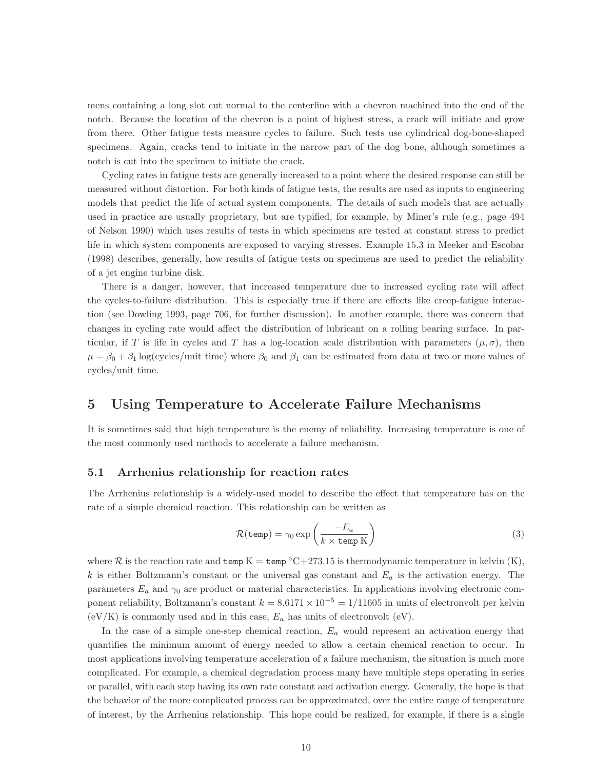mens containing a long slot cut normal to the centerline with a chevron machined into the end of the notch. Because the location of the chevron is a point of highest stress, a crack will initiate and grow from there. Other fatigue tests measure cycles to failure. Such tests use cylindrical dog-bone-shaped specimens. Again, cracks tend to initiate in the narrow part of the dog bone, although sometimes a notch is cut into the specimen to initiate the crack.

Cycling rates in fatigue tests are generally increased to a point where the desired response can still be measured without distortion. For both kinds of fatigue tests, the results are used as inputs to engineering models that predict the life of actual system components. The details of such models that are actually used in practice are usually proprietary, but are typified, for example, by Miner's rule (e.g., page 494 of Nelson 1990) which uses results of tests in which specimens are tested at constant stress to predict life in which system components are exposed to varying stresses. Example 15.3 in Meeker and Escobar (1998) describes, generally, how results of fatigue tests on specimens are used to predict the reliability of a jet engine turbine disk.

There is a danger, however, that increased temperature due to increased cycling rate will affect the cycles-to-failure distribution. This is especially true if there are effects like creep-fatigue interaction (see Dowling 1993, page 706, for further discussion). In another example, there was concern that changes in cycling rate would affect the distribution of lubricant on a rolling bearing surface. In particular, if T is life in cycles and T has a log-location scale distribution with parameters  $(\mu, \sigma)$ , then  $\mu = \beta_0 + \beta_1 \log(\text{cycles}/\text{unit time})$  where  $\beta_0$  and  $\beta_1$  can be estimated from data at two or more values of cycles/unit time.

# 5 Using Temperature to Accelerate Failure Mechanisms

It is sometimes said that high temperature is the enemy of reliability. Increasing temperature is one of the most commonly used methods to accelerate a failure mechanism.

## 5.1 Arrhenius relationship for reaction rates

The Arrhenius relationship is a widely-used model to describe the effect that temperature has on the rate of a simple chemical reaction. This relationship can be written as

$$
\mathcal{R}(\text{temp}) = \gamma_0 \exp\left(\frac{-E_a}{k \times \text{temp K}}\right) \tag{3}
$$

where R is the reaction rate and temp  $K = \text{temp}^{\circ}C + 273.15$  is thermodynamic temperature in kelvin  $(K)$ , k is either Boltzmann's constant or the universal gas constant and  $E_a$  is the activation energy. The parameters  $E_a$  and  $\gamma_0$  are product or material characteristics. In applications involving electronic component reliability, Boltzmann's constant  $k = 8.6171 \times 10^{-5} = 1/11605$  in units of electronvolt per kelvin  $(eV/K)$  is commonly used and in this case,  $E_a$  has units of electronvolt  $(eV)$ .

In the case of a simple one-step chemical reaction,  $E_a$  would represent an activation energy that quantifies the minimum amount of energy needed to allow a certain chemical reaction to occur. In most applications involving temperature acceleration of a failure mechanism, the situation is much more complicated. For example, a chemical degradation process many have multiple steps operating in series or parallel, with each step having its own rate constant and activation energy. Generally, the hope is that the behavior of the more complicated process can be approximated, over the entire range of temperature of interest, by the Arrhenius relationship. This hope could be realized, for example, if there is a single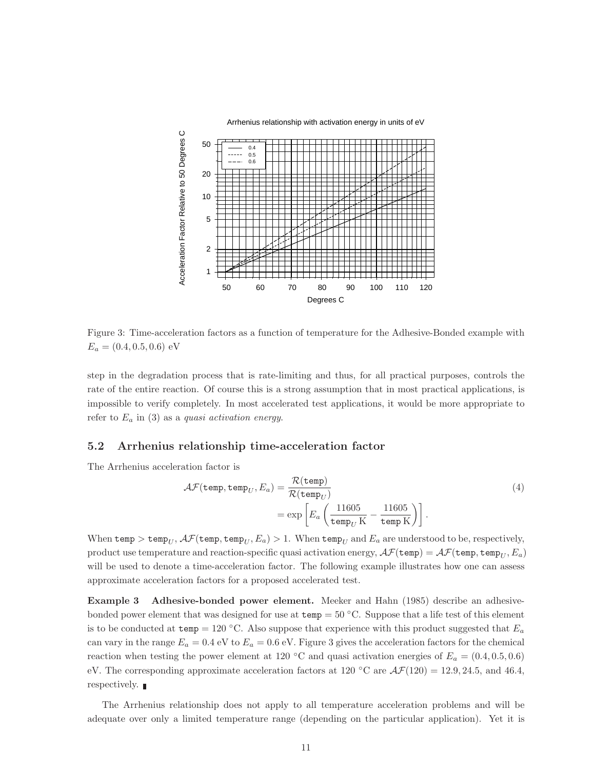

Figure 3: Time-acceleration factors as a function of temperature for the Adhesive-Bonded example with  $E_a = (0.4, 0.5, 0.6)$  eV

step in the degradation process that is rate-limiting and thus, for all practical purposes, controls the rate of the entire reaction. Of course this is a strong assumption that in most practical applications, is impossible to verify completely. In most accelerated test applications, it would be more appropriate to refer to  $E_a$  in (3) as a quasi activation energy.

### 5.2 Arrhenius relationship time-acceleration factor

The Arrhenius acceleration factor is

$$
\mathcal{AF}(\text{temp}, \text{temp}_U, E_a) = \frac{\mathcal{R}(\text{temp})}{\mathcal{R}(\text{temp}_U)} \n= \exp\left[E_a \left(\frac{11605}{\text{temp}_U \text{ K}} - \frac{11605}{\text{temp K}}\right)\right].
$$
\n(4)

When temp  $>$  temp<sub>U</sub>,  $\mathcal{AF}$ (temp, temp<sub>U</sub>,  $E_a$ )  $>$  1. When temp<sub>U</sub> and  $E_a$  are understood to be, respectively, product use temperature and reaction-specific quasi activation energy,  $\mathcal{AF}$ (temp) =  $\mathcal{AF}$ (temp, temp<sub>I</sub>,  $E_a$ ) will be used to denote a time-acceleration factor. The following example illustrates how one can assess approximate acceleration factors for a proposed accelerated test.

Example 3 Adhesive-bonded power element. Meeker and Hahn (1985) describe an adhesivebonded power element that was designed for use at  $temp = 50 °C$ . Suppose that a life test of this element is to be conducted at temp = 120 °C. Also suppose that experience with this product suggested that  $E_a$ can vary in the range  $E_a = 0.4$  eV to  $E_a = 0.6$  eV. Figure 3 gives the acceleration factors for the chemical reaction when testing the power element at 120 °C and quasi activation energies of  $E_a = (0.4, 0.5, 0.6)$ eV. The corresponding approximate acceleration factors at 120 °C are  $\mathcal{AF}(120) = 12.9, 24.5,$  and 46.4, respectively.

The Arrhenius relationship does not apply to all temperature acceleration problems and will be adequate over only a limited temperature range (depending on the particular application). Yet it is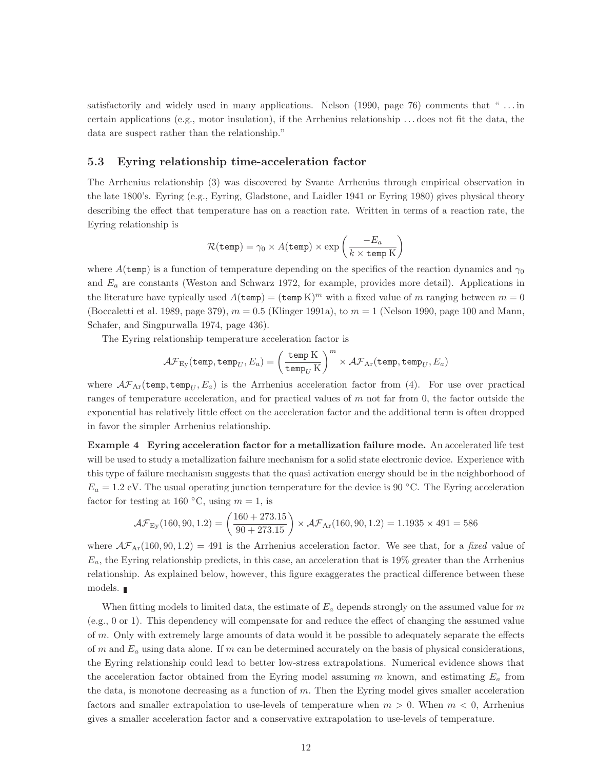satisfactorily and widely used in many applications. Nelson (1990, page 76) comments that " . . . in certain applications (e.g., motor insulation), if the Arrhenius relationship . . . does not fit the data, the data are suspect rather than the relationship."

## 5.3 Eyring relationship time-acceleration factor

The Arrhenius relationship (3) was discovered by Svante Arrhenius through empirical observation in the late 1800's. Eyring (e.g., Eyring, Gladstone, and Laidler 1941 or Eyring 1980) gives physical theory describing the effect that temperature has on a reaction rate. Written in terms of a reaction rate, the Eyring relationship is

$$
\mathcal{R}(\mathtt{temp}) = \gamma_0 \times A(\mathtt{temp}) \times \exp\left(\frac{-E_a}{k \times \mathtt{temp}\,\mathrm{K}}\right)
$$

where  $A$ (temp) is a function of temperature depending on the specifics of the reaction dynamics and  $\gamma_0$ and  $E_a$  are constants (Weston and Schwarz 1972, for example, provides more detail). Applications in the literature have typically used  $A(\text{temp}) = (\text{temp K})^m$  with a fixed value of m ranging between  $m = 0$ (Boccaletti et al. 1989, page 379),  $m = 0.5$  (Klinger 1991a), to  $m = 1$  (Nelson 1990, page 100 and Mann, Schafer, and Singpurwalla 1974, page 436).

The Eyring relationship temperature acceleration factor is

$$
\mathcal{AF}_{\text{Ey}}(\texttt{temp}, \texttt{temp}_U, E_a) = \left(\frac{\texttt{temp K}}{\texttt{temp}_U \text{K}}\right)^m \times \mathcal{AF}_{\text{Ar}}(\texttt{temp}, \texttt{temp}_U, E_a)
$$

where  $\mathcal{AF}_{Ar}$ (temp, temp<sub>U</sub>,  $E_a$ ) is the Arrhenius acceleration factor from (4). For use over practical ranges of temperature acceleration, and for practical values of m not far from 0, the factor outside the exponential has relatively little effect on the acceleration factor and the additional term is often dropped in favor the simpler Arrhenius relationship.

Example 4 Eyring acceleration factor for a metallization failure mode. An accelerated life test will be used to study a metallization failure mechanism for a solid state electronic device. Experience with this type of failure mechanism suggests that the quasi activation energy should be in the neighborhood of  $E_a = 1.2$  eV. The usual operating junction temperature for the device is 90 °C. The Eyring acceleration factor for testing at 160 °C, using  $m = 1$ , is

$$
\mathcal{AF}_{Ey}(160, 90, 1.2) = \left(\frac{160 + 273.15}{90 + 273.15}\right) \times \mathcal{AF}_{Ar}(160, 90, 1.2) = 1.1935 \times 491 = 586
$$

where  $\mathcal{AF}_{\text{Ar}}(160, 90, 1.2) = 491$  is the Arrhenius acceleration factor. We see that, for a fixed value of  $E_a$ , the Eyring relationship predicts, in this case, an acceleration that is 19% greater than the Arrhenius relationship. As explained below, however, this figure exaggerates the practical difference between these models.

When fitting models to limited data, the estimate of  $E_a$  depends strongly on the assumed value for m (e.g., 0 or 1). This dependency will compensate for and reduce the effect of changing the assumed value of  $m$ . Only with extremely large amounts of data would it be possible to adequately separate the effects of m and  $E_a$  using data alone. If m can be determined accurately on the basis of physical considerations, the Eyring relationship could lead to better low-stress extrapolations. Numerical evidence shows that the acceleration factor obtained from the Eyring model assuming  $m$  known, and estimating  $E_a$  from the data, is monotone decreasing as a function of  $m$ . Then the Eyring model gives smaller acceleration factors and smaller extrapolation to use-levels of temperature when  $m > 0$ . When  $m < 0$ , Arrhenius gives a smaller acceleration factor and a conservative extrapolation to use-levels of temperature.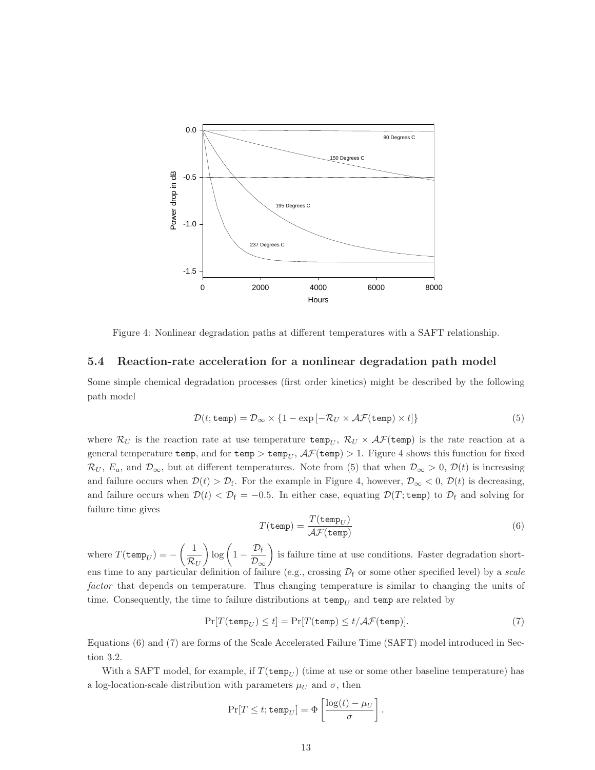

Figure 4: Nonlinear degradation paths at different temperatures with a SAFT relationship.

#### 5.4 Reaction-rate acceleration for a nonlinear degradation path model

Some simple chemical degradation processes (first order kinetics) might be described by the following path model

$$
\mathcal{D}(t; \text{temp}) = \mathcal{D}_{\infty} \times \{1 - \exp[-\mathcal{R}_U \times \mathcal{AF}(\text{temp}) \times t]\}\tag{5}
$$

where  $\mathcal{R}_U$  is the reaction rate at use temperature temp<sub>U</sub>,  $\mathcal{R}_U \times \mathcal{AF}$ (temp) is the rate reaction at a general temperature temp, and for temp  $>$  temp<sub>U</sub>,  $\mathcal{AF}$ (temp)  $>$  1. Figure 4 shows this function for fixed  $\mathcal{R}_U$ ,  $E_a$ , and  $\mathcal{D}_{\infty}$ , but at different temperatures. Note from (5) that when  $\mathcal{D}_{\infty} > 0$ ,  $\mathcal{D}(t)$  is increasing and failure occurs when  $\mathcal{D}(t) > \mathcal{D}_f$ . For the example in Figure 4, however,  $\mathcal{D}_{\infty} < 0$ ,  $\mathcal{D}(t)$  is decreasing, and failure occurs when  $\mathcal{D}(t) < \mathcal{D}_f = -0.5$ . In either case, equating  $\mathcal{D}(T; \text{temp})$  to  $\mathcal{D}_f$  and solving for failure time gives

$$
T(\text{temp}) = \frac{T(\text{temp}_U)}{\mathcal{AF}(\text{temp})}
$$
(6)

where  $T(\texttt{temp}_U) = \begin{pmatrix} 1 \end{pmatrix}$  $\mathcal{R}_U$  $\log\left(1-\frac{\mathcal{D}_{\rm f}}{\mathcal{D}_{\rm f}}\right)$  $\mathcal{D}_{\infty}$  $\setminus$ is failure time at use conditions. Faster degradation shortens time to any particular definition of failure (e.g., crossing  $\mathcal{D}_f$  or some other specified level) by a scale factor that depends on temperature. Thus changing temperature is similar to changing the units of time. Consequently, the time to failure distributions at  $\text{temp}_U$  and  $\text{temp}$  are related by

$$
\Pr[T(\text{temp}_U) \le t] = \Pr[T(\text{temp}) \le t/\mathcal{AF}(\text{temp})].\tag{7}
$$

Equations (6) and (7) are forms of the Scale Accelerated Failure Time (SAFT) model introduced in Section 3.2.

With a SAFT model, for example, if  $T(\texttt{temp}_U)$  (time at use or some other baseline temperature) has a log-location-scale distribution with parameters  $\mu_U$  and  $\sigma$ , then

$$
\Pr[T \le t; \mathtt{temp}_U] = \Phi\left[\frac{\log(t) - \mu_U}{\sigma}\right].
$$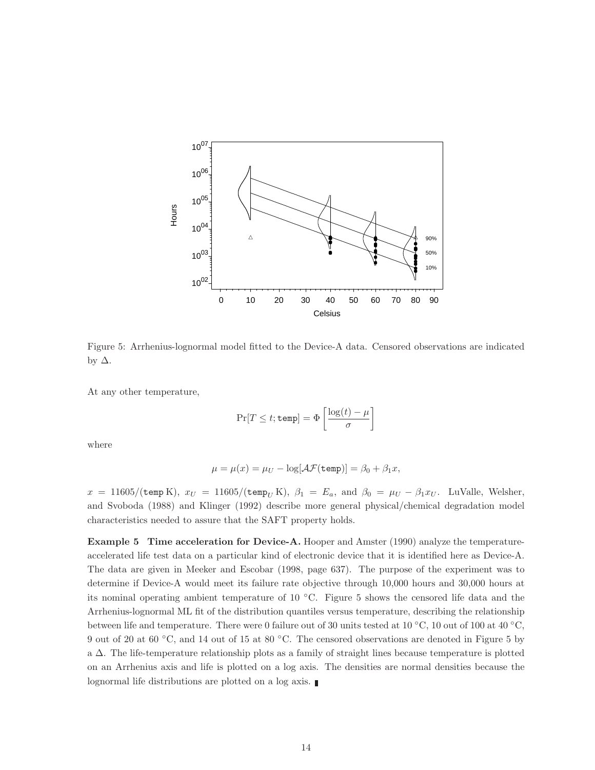

Figure 5: Arrhenius-lognormal model fitted to the Device-A data. Censored observations are indicated by ∆.

At any other temperature,

$$
\Pr[T \leq t; \mathtt{temp}] = \Phi\left[\frac{\log(t) - \mu}{\sigma}\right]
$$

where

$$
\mu = \mu(x) = \mu_U - \log[\mathcal{AF}(\mathtt{temp})] = \beta_0 + \beta_1 x,
$$

 $x = 11605/(\texttt{temp K})$ ,  $x_U = 11605/(\texttt{temp}_U \text{K})$ ,  $\beta_1 = E_a$ , and  $\beta_0 = \mu_U - \beta_1 x_U$ . LuValle, Welsher, and Svoboda (1988) and Klinger (1992) describe more general physical/chemical degradation model characteristics needed to assure that the SAFT property holds.

Example 5 Time acceleration for Device-A. Hooper and Amster (1990) analyze the temperatureaccelerated life test data on a particular kind of electronic device that it is identified here as Device-A. The data are given in Meeker and Escobar (1998, page 637). The purpose of the experiment was to determine if Device-A would meet its failure rate objective through 10,000 hours and 30,000 hours at its nominal operating ambient temperature of 10 ◦C. Figure 5 shows the censored life data and the Arrhenius-lognormal ML fit of the distribution quantiles versus temperature, describing the relationship between life and temperature. There were 0 failure out of 30 units tested at 10 ◦C, 10 out of 100 at 40 ◦C, 9 out of 20 at 60 ◦C, and 14 out of 15 at 80 ◦C. The censored observations are denoted in Figure 5 by a ∆. The life-temperature relationship plots as a family of straight lines because temperature is plotted on an Arrhenius axis and life is plotted on a log axis. The densities are normal densities because the lognormal life distributions are plotted on a log axis.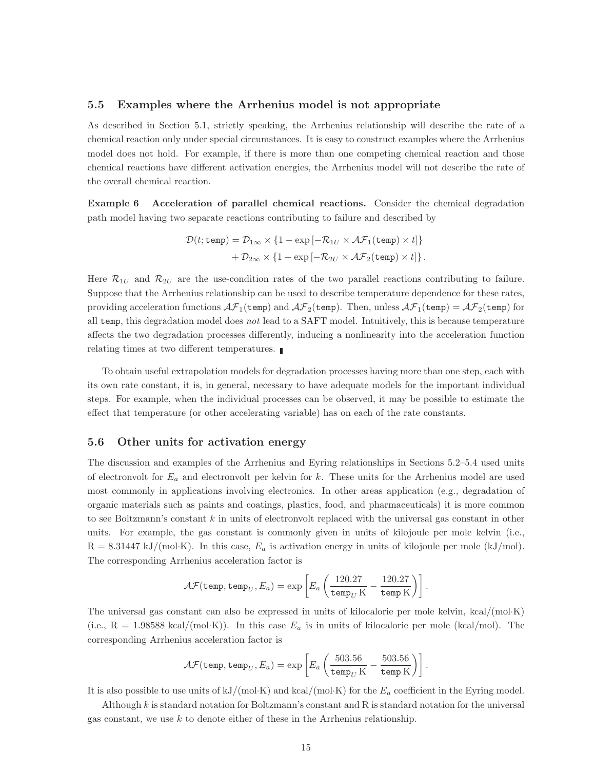#### 5.5 Examples where the Arrhenius model is not appropriate

As described in Section 5.1, strictly speaking, the Arrhenius relationship will describe the rate of a chemical reaction only under special circumstances. It is easy to construct examples where the Arrhenius model does not hold. For example, if there is more than one competing chemical reaction and those chemical reactions have different activation energies, the Arrhenius model will not describe the rate of the overall chemical reaction.

Example 6 Acceleration of parallel chemical reactions. Consider the chemical degradation path model having two separate reactions contributing to failure and described by

$$
\mathcal{D}(t; \texttt{temp}) = \mathcal{D}_{1\infty} \times \{1 - \exp[-\mathcal{R}_{1U} \times \mathcal{AF}_1(\texttt{temp}) \times t]\} + \mathcal{D}_{2\infty} \times \{1 - \exp[-\mathcal{R}_{2U} \times \mathcal{AF}_2(\texttt{temp}) \times t]\}.
$$

Here  $\mathcal{R}_{1U}$  and  $\mathcal{R}_{2U}$  are the use-condition rates of the two parallel reactions contributing to failure. Suppose that the Arrhenius relationship can be used to describe temperature dependence for these rates, providing acceleration functions  $\mathcal{AF}_1$ (temp) and  $\mathcal{AF}_2$ (temp). Then, unless  $\mathcal{AF}_1$ (temp) =  $\mathcal{AF}_2$ (temp) for all temp, this degradation model does not lead to a SAFT model. Intuitively, this is because temperature affects the two degradation processes differently, inducing a nonlinearity into the acceleration function relating times at two different temperatures.

To obtain useful extrapolation models for degradation processes having more than one step, each with its own rate constant, it is, in general, necessary to have adequate models for the important individual steps. For example, when the individual processes can be observed, it may be possible to estimate the effect that temperature (or other accelerating variable) has on each of the rate constants.

# 5.6 Other units for activation energy

The discussion and examples of the Arrhenius and Eyring relationships in Sections 5.2–5.4 used units of electronvolt for  $E_a$  and electronvolt per kelvin for k. These units for the Arrhenius model are used most commonly in applications involving electronics. In other areas application (e.g., degradation of organic materials such as paints and coatings, plastics, food, and pharmaceuticals) it is more common to see Boltzmann's constant  $k$  in units of electronvolt replaced with the universal gas constant in other units. For example, the gas constant is commonly given in units of kilojoule per mole kelvin (i.e.,  $R = 8.31447 \text{ kJ/(mol·K)}$ . In this case,  $E_a$  is activation energy in units of kilojoule per mole (kJ/mol). The corresponding Arrhenius acceleration factor is

$$
\mathcal{AF}(\texttt{temp}, \texttt{temp}_U, E_a) = \exp\left[E_a \left(\frac{120.27}{\texttt{temp}_U \,\text{K}} - \frac{120.27}{\texttt{temp K}}\right)\right].
$$

The universal gas constant can also be expressed in units of kilocalorie per mole kelvin, kcal/(mol·K) (i.e.,  $R = 1.98588$  kcal/(mol·K)). In this case  $E_a$  is in units of kilocalorie per mole (kcal/mol). The corresponding Arrhenius acceleration factor is

$$
\mathcal{AF}(\texttt{temp},\texttt{temp}_U,E_a) = \exp\left[E_a\left(\frac{503.56}{\texttt{temp}_U\,\text{K}} - \frac{503.56}{\texttt{temp K}}\right)\right].
$$

It is also possible to use units of  $kJ/(mol·K)$  and  $kcal/(mol·K)$  for the  $E_a$  coefficient in the Eyring model.

Although  $k$  is standard notation for Boltzmann's constant and  $R$  is standard notation for the universal gas constant, we use  $k$  to denote either of these in the Arrhenius relationship.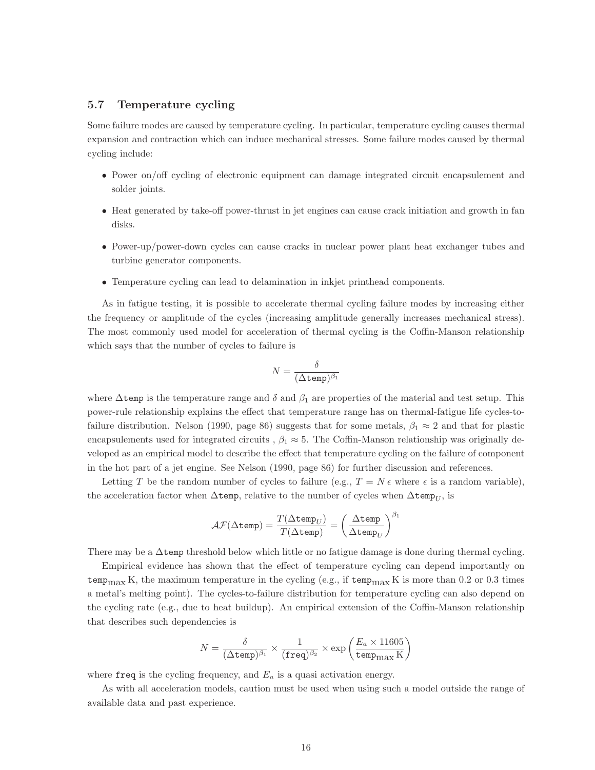## 5.7 Temperature cycling

Some failure modes are caused by temperature cycling. In particular, temperature cycling causes thermal expansion and contraction which can induce mechanical stresses. Some failure modes caused by thermal cycling include:

- Power on/off cycling of electronic equipment can damage integrated circuit encapsulement and solder joints.
- Heat generated by take-off power-thrust in jet engines can cause crack initiation and growth in fan disks.
- Power-up/power-down cycles can cause cracks in nuclear power plant heat exchanger tubes and turbine generator components.
- Temperature cycling can lead to delamination in inkjet printhead components.

As in fatigue testing, it is possible to accelerate thermal cycling failure modes by increasing either the frequency or amplitude of the cycles (increasing amplitude generally increases mechanical stress). The most commonly used model for acceleration of thermal cycling is the Coffin-Manson relationship which says that the number of cycles to failure is

$$
N=\frac{\delta}{(\Delta\texttt{temp})^{\beta_1}}
$$

where  $\Delta$ temp is the temperature range and  $\delta$  and  $\beta_1$  are properties of the material and test setup. This power-rule relationship explains the effect that temperature range has on thermal-fatigue life cycles-tofailure distribution. Nelson (1990, page 86) suggests that for some metals,  $\beta_1 \approx 2$  and that for plastic encapsulements used for integrated circuits ,  $\beta_1 \approx 5$ . The Coffin-Manson relationship was originally developed as an empirical model to describe the effect that temperature cycling on the failure of component in the hot part of a jet engine. See Nelson (1990, page 86) for further discussion and references.

Letting T be the random number of cycles to failure (e.g.,  $T = N \epsilon$  where  $\epsilon$  is a random variable), the acceleration factor when  $\Delta$ temp, relative to the number of cycles when  $\Delta$ temp<sub>U</sub>, is

$$
\mathcal{AF}(\Delta \texttt{temp}) = \frac{T(\Delta \texttt{temp}_U)}{T(\Delta \texttt{temp})} = \left(\frac{\Delta \texttt{temp}}{\Delta \texttt{temp}_U}\right)^{\beta_1}
$$

There may be a  $\Delta$ temp threshold below which little or no fatigue damage is done during thermal cycling.

Empirical evidence has shown that the effect of temperature cycling can depend importantly on temp<sub>max</sub> K, the maximum temperature in the cycling (e.g., if temp<sub>max</sub> K is more than 0.2 or 0.3 times a metal's melting point). The cycles-to-failure distribution for temperature cycling can also depend on the cycling rate (e.g., due to heat buildup). An empirical extension of the Coffin-Manson relationship that describes such dependencies is

$$
N = \frac{\delta}{(\Delta \text{temp})^{\beta_1}} \times \frac{1}{(\text{freq})^{\beta_2}} \times \exp\left(\frac{E_a \times 11605}{\text{tempmax K}}\right)
$$

where freq is the cycling frequency, and  $E_a$  is a quasi activation energy.

As with all acceleration models, caution must be used when using such a model outside the range of available data and past experience.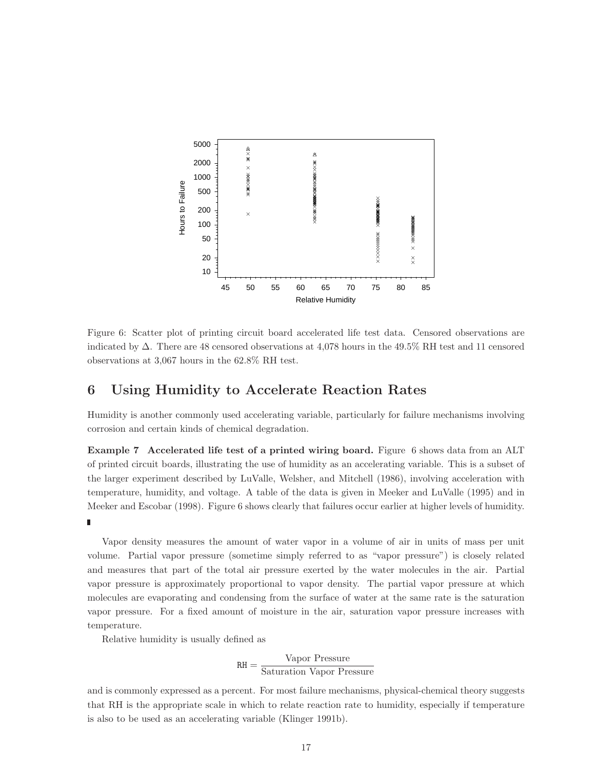

Figure 6: Scatter plot of printing circuit board accelerated life test data. Censored observations are indicated by ∆. There are 48 censored observations at 4,078 hours in the 49.5% RH test and 11 censored observations at 3,067 hours in the 62.8% RH test.

# 6 Using Humidity to Accelerate Reaction Rates

Humidity is another commonly used accelerating variable, particularly for failure mechanisms involving corrosion and certain kinds of chemical degradation.

Example 7 Accelerated life test of a printed wiring board. Figure 6 shows data from an ALT of printed circuit boards, illustrating the use of humidity as an accelerating variable. This is a subset of the larger experiment described by LuValle, Welsher, and Mitchell (1986), involving acceleration with temperature, humidity, and voltage. A table of the data is given in Meeker and LuValle (1995) and in Meeker and Escobar (1998). Figure 6 shows clearly that failures occur earlier at higher levels of humidity.

#### ī

Vapor density measures the amount of water vapor in a volume of air in units of mass per unit volume. Partial vapor pressure (sometime simply referred to as "vapor pressure") is closely related and measures that part of the total air pressure exerted by the water molecules in the air. Partial vapor pressure is approximately proportional to vapor density. The partial vapor pressure at which molecules are evaporating and condensing from the surface of water at the same rate is the saturation vapor pressure. For a fixed amount of moisture in the air, saturation vapor pressure increases with temperature.

Relative humidity is usually defined as

$$
RH = \frac{\text{Vapor Pressure}}{\text{Saturation Vapor Pressure}}
$$

and is commonly expressed as a percent. For most failure mechanisms, physical-chemical theory suggests that RH is the appropriate scale in which to relate reaction rate to humidity, especially if temperature is also to be used as an accelerating variable (Klinger 1991b).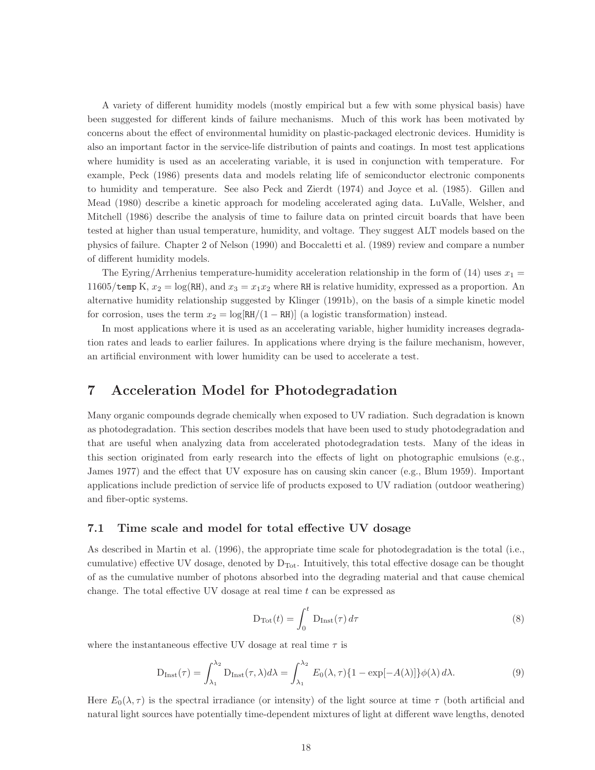A variety of different humidity models (mostly empirical but a few with some physical basis) have been suggested for different kinds of failure mechanisms. Much of this work has been motivated by concerns about the effect of environmental humidity on plastic-packaged electronic devices. Humidity is also an important factor in the service-life distribution of paints and coatings. In most test applications where humidity is used as an accelerating variable, it is used in conjunction with temperature. For example, Peck (1986) presents data and models relating life of semiconductor electronic components to humidity and temperature. See also Peck and Zierdt (1974) and Joyce et al. (1985). Gillen and Mead (1980) describe a kinetic approach for modeling accelerated aging data. LuValle, Welsher, and Mitchell (1986) describe the analysis of time to failure data on printed circuit boards that have been tested at higher than usual temperature, humidity, and voltage. They suggest ALT models based on the physics of failure. Chapter 2 of Nelson (1990) and Boccaletti et al. (1989) review and compare a number of different humidity models.

The Eyring/Arrhenius temperature-humidity acceleration relationship in the form of (14) uses  $x_1 =$ 11605/temp K,  $x_2 = \log(RH)$ , and  $x_3 = x_1x_2$  where RH is relative humidity, expressed as a proportion. An alternative humidity relationship suggested by Klinger (1991b), on the basis of a simple kinetic model for corrosion, uses the term  $x_2 = \log[\text{RH}/(1 - \text{RH})]$  (a logistic transformation) instead.

In most applications where it is used as an accelerating variable, higher humidity increases degradation rates and leads to earlier failures. In applications where drying is the failure mechanism, however, an artificial environment with lower humidity can be used to accelerate a test.

# 7 Acceleration Model for Photodegradation

Many organic compounds degrade chemically when exposed to UV radiation. Such degradation is known as photodegradation. This section describes models that have been used to study photodegradation and that are useful when analyzing data from accelerated photodegradation tests. Many of the ideas in this section originated from early research into the effects of light on photographic emulsions (e.g., James 1977) and the effect that UV exposure has on causing skin cancer (e.g., Blum 1959). Important applications include prediction of service life of products exposed to UV radiation (outdoor weathering) and fiber-optic systems.

### 7.1 Time scale and model for total effective UV dosage

As described in Martin et al. (1996), the appropriate time scale for photodegradation is the total (i.e., cumulative) effective UV dosage, denoted by  $D_{\text{Tot}}$ . Intuitively, this total effective dosage can be thought of as the cumulative number of photons absorbed into the degrading material and that cause chemical change. The total effective UV dosage at real time  $t$  can be expressed as

$$
D_{\text{Tot}}(t) = \int_0^t D_{\text{Inst}}(\tau) d\tau \tag{8}
$$

where the instantaneous effective UV dosage at real time  $\tau$  is

$$
D_{\text{Inst}}(\tau) = \int_{\lambda_1}^{\lambda_2} D_{\text{Inst}}(\tau, \lambda) d\lambda = \int_{\lambda_1}^{\lambda_2} E_0(\lambda, \tau) \{1 - \exp[-A(\lambda)]\} \phi(\lambda) d\lambda.
$$
 (9)

Here  $E_0(\lambda, \tau)$  is the spectral irradiance (or intensity) of the light source at time  $\tau$  (both artificial and natural light sources have potentially time-dependent mixtures of light at different wave lengths, denoted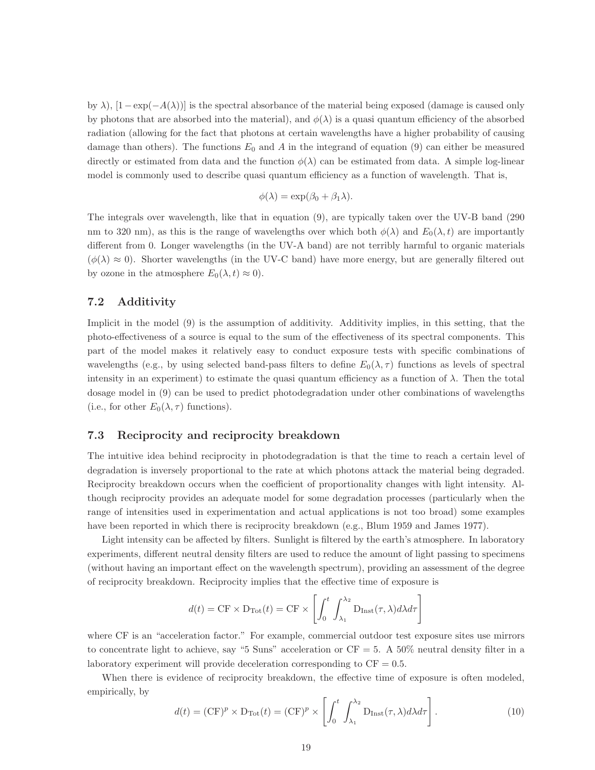by  $\lambda$ ),  $[1-\exp(-A(\lambda))]$  is the spectral absorbance of the material being exposed (damage is caused only by photons that are absorbed into the material), and  $\phi(\lambda)$  is a quasi quantum efficiency of the absorbed radiation (allowing for the fact that photons at certain wavelengths have a higher probability of causing damage than others). The functions  $E_0$  and A in the integrand of equation (9) can either be measured directly or estimated from data and the function  $\phi(\lambda)$  can be estimated from data. A simple log-linear model is commonly used to describe quasi quantum efficiency as a function of wavelength. That is,

$$
\phi(\lambda) = \exp(\beta_0 + \beta_1 \lambda).
$$

The integrals over wavelength, like that in equation (9), are typically taken over the UV-B band (290 nm to 320 nm), as this is the range of wavelengths over which both  $\phi(\lambda)$  and  $E_0(\lambda, t)$  are importantly different from 0. Longer wavelengths (in the UV-A band) are not terribly harmful to organic materials  $(\phi(\lambda) \approx 0)$ . Shorter wavelengths (in the UV-C band) have more energy, but are generally filtered out by ozone in the atmosphere  $E_0(\lambda, t) \approx 0$ .

# 7.2 Additivity

Implicit in the model (9) is the assumption of additivity. Additivity implies, in this setting, that the photo-effectiveness of a source is equal to the sum of the effectiveness of its spectral components. This part of the model makes it relatively easy to conduct exposure tests with specific combinations of wavelengths (e.g., by using selected band-pass filters to define  $E_0(\lambda, \tau)$  functions as levels of spectral intensity in an experiment) to estimate the quasi quantum efficiency as a function of  $\lambda$ . Then the total dosage model in (9) can be used to predict photodegradation under other combinations of wavelengths (i.e., for other  $E_0(\lambda, \tau)$  functions).

# 7.3 Reciprocity and reciprocity breakdown

The intuitive idea behind reciprocity in photodegradation is that the time to reach a certain level of degradation is inversely proportional to the rate at which photons attack the material being degraded. Reciprocity breakdown occurs when the coefficient of proportionality changes with light intensity. Although reciprocity provides an adequate model for some degradation processes (particularly when the range of intensities used in experimentation and actual applications is not too broad) some examples have been reported in which there is reciprocity breakdown (e.g., Blum 1959 and James 1977).

Light intensity can be affected by filters. Sunlight is filtered by the earth's atmosphere. In laboratory experiments, different neutral density filters are used to reduce the amount of light passing to specimens (without having an important effect on the wavelength spectrum), providing an assessment of the degree of reciprocity breakdown. Reciprocity implies that the effective time of exposure is

$$
d(t) = \text{CF} \times D_{\text{Tot}}(t) = \text{CF} \times \left[ \int_0^t \int_{\lambda_1}^{\lambda_2} D_{\text{Inst}}(\tau, \lambda) d\lambda d\tau \right]
$$

where CF is an "acceleration factor." For example, commercial outdoor test exposure sites use mirrors to concentrate light to achieve, say "5 Suns" acceleration or  $CF = 5$ . A 50% neutral density filter in a laboratory experiment will provide deceleration corresponding to  $CF = 0.5$ .

When there is evidence of reciprocity breakdown, the effective time of exposure is often modeled, empirically, by

$$
d(t) = (\text{CF})^p \times \text{D}_{\text{Tot}}(t) = (\text{CF})^p \times \left[ \int_0^t \int_{\lambda_1}^{\lambda_2} \text{D}_{\text{Inst}}(\tau, \lambda) d\lambda d\tau \right]. \tag{10}
$$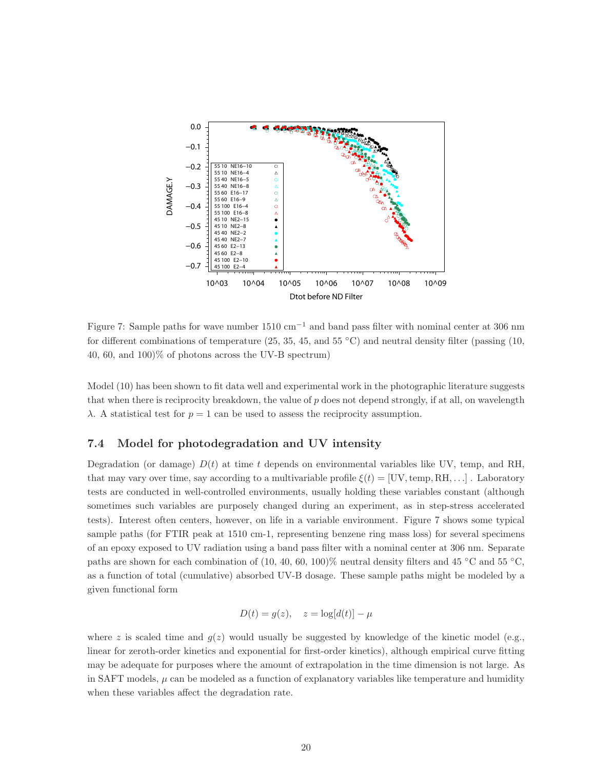

Figure 7: Sample paths for wave number 1510 cm<sup>−</sup><sup>1</sup> and band pass filter with nominal center at 306 nm for different combinations of temperature (25, 35, 45, and 55  $\degree$ C) and neutral density filter (passing (10, 40, 60, and 100)% of photons across the UV-B spectrum)

Model (10) has been shown to fit data well and experimental work in the photographic literature suggests that when there is reciprocity breakdown, the value of p does not depend strongly, if at all, on wavelength λ. A statistical test for  $p = 1$  can be used to assess the reciprocity assumption.

# 7.4 Model for photodegradation and UV intensity

Degradation (or damage)  $D(t)$  at time t depends on environmental variables like UV, temp, and RH, that may vary over time, say according to a multivariable profile  $\xi(t) = [UV, temp, RH, \dots]$ . Laboratory tests are conducted in well-controlled environments, usually holding these variables constant (although sometimes such variables are purposely changed during an experiment, as in step-stress accelerated tests). Interest often centers, however, on life in a variable environment. Figure 7 shows some typical sample paths (for FTIR peak at 1510 cm-1, representing benzene ring mass loss) for several specimens of an epoxy exposed to UV radiation using a band pass filter with a nominal center at 306 nm. Separate paths are shown for each combination of  $(10, 40, 60, 100)$ % neutral density filters and 45 °C and 55 °C, as a function of total (cumulative) absorbed UV-B dosage. These sample paths might be modeled by a given functional form

$$
D(t) = g(z), \quad z = \log[d(t)] - \mu
$$

where z is scaled time and  $g(z)$  would usually be suggested by knowledge of the kinetic model (e.g., linear for zeroth-order kinetics and exponential for first-order kinetics), although empirical curve fitting may be adequate for purposes where the amount of extrapolation in the time dimension is not large. As in SAFT models,  $\mu$  can be modeled as a function of explanatory variables like temperature and humidity when these variables affect the degradation rate.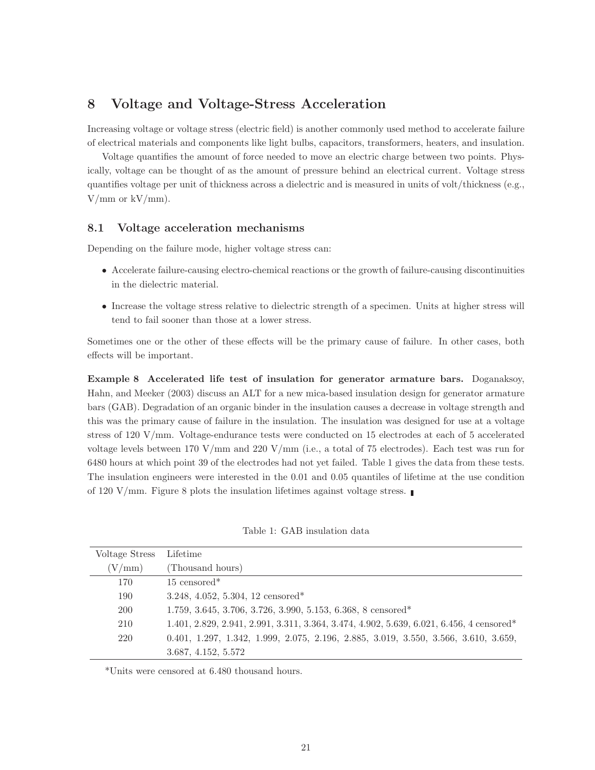# 8 Voltage and Voltage-Stress Acceleration

Increasing voltage or voltage stress (electric field) is another commonly used method to accelerate failure of electrical materials and components like light bulbs, capacitors, transformers, heaters, and insulation.

Voltage quantifies the amount of force needed to move an electric charge between two points. Physically, voltage can be thought of as the amount of pressure behind an electrical current. Voltage stress quantifies voltage per unit of thickness across a dielectric and is measured in units of volt/thickness (e.g.,  $V/mm$  or  $kV/mm$ ).

## 8.1 Voltage acceleration mechanisms

Depending on the failure mode, higher voltage stress can:

- Accelerate failure-causing electro-chemical reactions or the growth of failure-causing discontinuities in the dielectric material.
- Increase the voltage stress relative to dielectric strength of a specimen. Units at higher stress will tend to fail sooner than those at a lower stress.

Sometimes one or the other of these effects will be the primary cause of failure. In other cases, both effects will be important.

Example 8 Accelerated life test of insulation for generator armature bars. Doganaksoy, Hahn, and Meeker (2003) discuss an ALT for a new mica-based insulation design for generator armature bars (GAB). Degradation of an organic binder in the insulation causes a decrease in voltage strength and this was the primary cause of failure in the insulation. The insulation was designed for use at a voltage stress of 120 V/mm. Voltage-endurance tests were conducted on 15 electrodes at each of 5 accelerated voltage levels between 170 V/mm and 220 V/mm (i.e., a total of 75 electrodes). Each test was run for 6480 hours at which point 39 of the electrodes had not yet failed. Table 1 gives the data from these tests. The insulation engineers were interested in the 0.01 and 0.05 quantiles of lifetime at the use condition of 120 V/mm. Figure 8 plots the insulation lifetimes against voltage stress.

Table 1: GAB insulation data

| Voltage Stress | Lifetime                                                                                               |
|----------------|--------------------------------------------------------------------------------------------------------|
| (V/mm)         | (Thousand hours)                                                                                       |
| 170            | $15$ censored <sup>*</sup>                                                                             |
| 190            | 3.248, 4.052, 5.304, 12 censored*                                                                      |
| <b>200</b>     | $1.759, 3.645, 3.706, 3.726, 3.990, 5.153, 6.368, 8$ censored*                                         |
| 210            | $1.401, 2.829, 2.941, 2.991, 3.311, 3.364, 3.474, 4.902, 5.639, 6.021, 6.456, 4$ censored <sup>*</sup> |
| 220            | $0.401, 1.297, 1.342, 1.999, 2.075, 2.196, 2.885, 3.019, 3.550, 3.566, 3.610, 3.659,$                  |
|                | 3.687, 4.152, 5.572                                                                                    |

\*Units were censored at 6.480 thousand hours.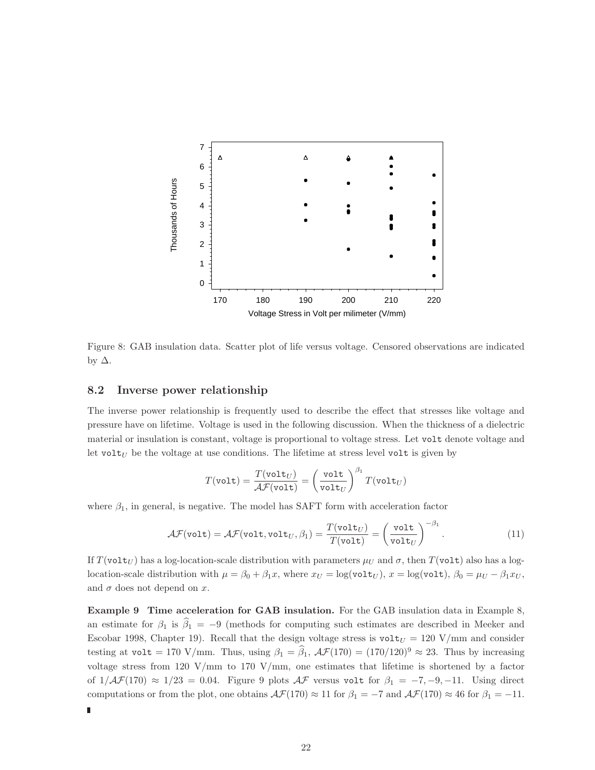

Figure 8: GAB insulation data. Scatter plot of life versus voltage. Censored observations are indicated by  $\Delta$ .

## 8.2 Inverse power relationship

Ľ

The inverse power relationship is frequently used to describe the effect that stresses like voltage and pressure have on lifetime. Voltage is used in the following discussion. When the thickness of a dielectric material or insulation is constant, voltage is proportional to voltage stress. Let volt denote voltage and let volt $_U$  be the voltage at use conditions. The lifetime at stress level volt is given by

$$
T(\texttt{volt}) = \frac{T(\texttt{volt}_U)}{\mathcal{A}\mathcal{F}(\texttt{volt})} = \left(\frac{\texttt{volt}}{\texttt{volt}_U}\right)^{\beta_1} T(\texttt{volt}_U)
$$

where  $\beta_1$ , in general, is negative. The model has SAFT form with acceleration factor

$$
\mathcal{AF}(\text{volt}) = \mathcal{AF}(\text{volt}, \text{volt}_U, \beta_1) = \frac{T(\text{volt}_U)}{T(\text{volt})} = \left(\frac{\text{volt}}{\text{volt}_U}\right)^{-\beta_1}.
$$
\n(11)

If  $T(\text{volt}_U)$  has a log-location-scale distribution with parameters  $\mu_U$  and  $\sigma$ , then  $T(\text{volt})$  also has a loglocation-scale distribution with  $\mu = \beta_0 + \beta_1 x$ , where  $x_U = \log(\text{vol } t_U)$ ,  $x = \log(\text{vol } t)$ ,  $\beta_0 = \mu_U - \beta_1 x_U$ , and  $\sigma$  does not depend on x.

Example 9 Time acceleration for GAB insulation. For the GAB insulation data in Example 8, an estimate for  $\beta_1$  is  $\hat{\beta}_1 = -9$  (methods for computing such estimates are described in Meeker and Escobar 1998, Chapter 19). Recall that the design voltage stress is  $\text{volt}_U = 120 \text{ V/mm}$  and consider testing at volt = 170 V/mm. Thus, using  $\beta_1 = \widehat{\beta}_1$ ,  $\mathcal{AF}(170) = (170/120)^9 \approx 23$ . Thus by increasing voltage stress from 120 V/mm to 170 V/mm, one estimates that lifetime is shortened by a factor of  $1/\mathcal{AF}(170) \approx 1/23 = 0.04$ . Figure 9 plots  $\mathcal{AF}$  versus volt for  $\beta_1 = -7, -9, -11$ . Using direct computations or from the plot, one obtains  $\mathcal{AF}(170) \approx 11$  for  $\beta_1 = -7$  and  $\mathcal{AF}(170) \approx 46$  for  $\beta_1 = -11$ .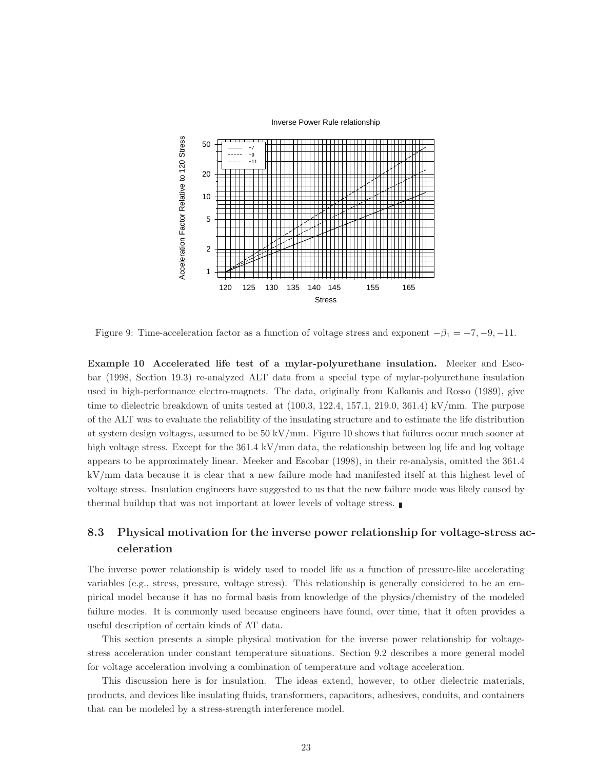

Figure 9: Time-acceleration factor as a function of voltage stress and exponent  $-\beta_1 = -7, -9, -11$ .

Example 10 Accelerated life test of a mylar-polyurethane insulation. Meeker and Escobar (1998, Section 19.3) re-analyzed ALT data from a special type of mylar-polyurethane insulation used in high-performance electro-magnets. The data, originally from Kalkanis and Rosso (1989), give time to dielectric breakdown of units tested at  $(100.3, 122.4, 157.1, 219.0, 361.4)$  kV/mm. The purpose of the ALT was to evaluate the reliability of the insulating structure and to estimate the life distribution at system design voltages, assumed to be 50 kV/mm. Figure 10 shows that failures occur much sooner at high voltage stress. Except for the 361.4 kV/mm data, the relationship between log life and log voltage appears to be approximately linear. Meeker and Escobar (1998), in their re-analysis, omitted the 361.4 kV/mm data because it is clear that a new failure mode had manifested itself at this highest level of voltage stress. Insulation engineers have suggested to us that the new failure mode was likely caused by thermal buildup that was not important at lower levels of voltage stress.

# 8.3 Physical motivation for the inverse power relationship for voltage-stress acceleration

The inverse power relationship is widely used to model life as a function of pressure-like accelerating variables (e.g., stress, pressure, voltage stress). This relationship is generally considered to be an empirical model because it has no formal basis from knowledge of the physics/chemistry of the modeled failure modes. It is commonly used because engineers have found, over time, that it often provides a useful description of certain kinds of AT data.

This section presents a simple physical motivation for the inverse power relationship for voltagestress acceleration under constant temperature situations. Section 9.2 describes a more general model for voltage acceleration involving a combination of temperature and voltage acceleration.

This discussion here is for insulation. The ideas extend, however, to other dielectric materials, products, and devices like insulating fluids, transformers, capacitors, adhesives, conduits, and containers that can be modeled by a stress-strength interference model.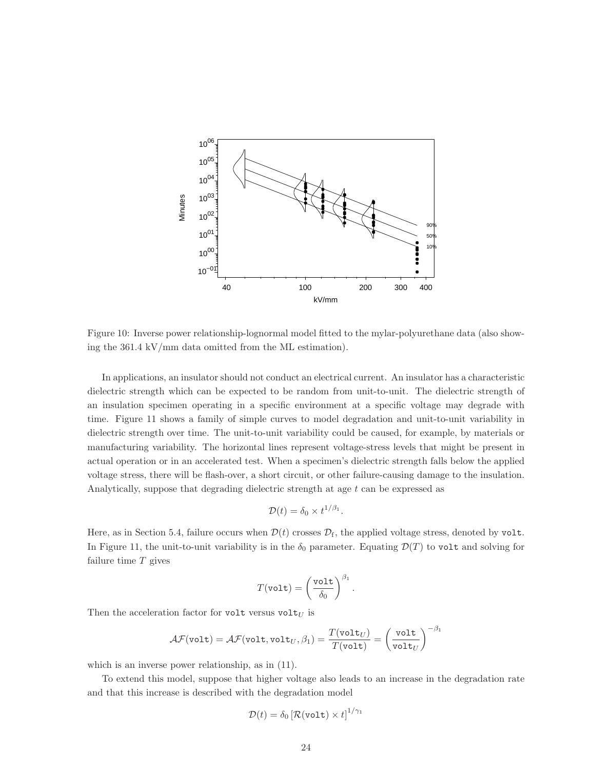

Figure 10: Inverse power relationship-lognormal model fitted to the mylar-polyurethane data (also showing the 361.4 kV/mm data omitted from the ML estimation).

In applications, an insulator should not conduct an electrical current. An insulator has a characteristic dielectric strength which can be expected to be random from unit-to-unit. The dielectric strength of an insulation specimen operating in a specific environment at a specific voltage may degrade with time. Figure 11 shows a family of simple curves to model degradation and unit-to-unit variability in dielectric strength over time. The unit-to-unit variability could be caused, for example, by materials or manufacturing variability. The horizontal lines represent voltage-stress levels that might be present in actual operation or in an accelerated test. When a specimen's dielectric strength falls below the applied voltage stress, there will be flash-over, a short circuit, or other failure-causing damage to the insulation. Analytically, suppose that degrading dielectric strength at age t can be expressed as

$$
\mathcal{D}(t) = \delta_0 \times t^{1/\beta_1}.
$$

Here, as in Section 5.4, failure occurs when  $\mathcal{D}(t)$  crosses  $\mathcal{D}_f$ , the applied voltage stress, denoted by volt. In Figure 11, the unit-to-unit variability is in the  $\delta_0$  parameter. Equating  $\mathcal{D}(T)$  to volt and solving for failure time  $T$  gives

$$
T(\text{volt}) = \left(\frac{\text{volt}}{\delta_0}\right)^{\beta_1}.
$$

Then the acceleration factor for volt versus volt $_U$  is

$$
\mathcal{AF}(\texttt{volt}) = \mathcal{AF}(\texttt{volt}, \texttt{volt}_U, \beta_1) = \frac{T(\texttt{volt}_U)}{T(\texttt{volt})} = \left(\frac{\texttt{volt}}{\texttt{volt}_U}\right)^{-\beta_1}
$$

which is an inverse power relationship, as in (11).

To extend this model, suppose that higher voltage also leads to an increase in the degradation rate and that this increase is described with the degradation model

$$
\mathcal{D}(t) = \delta_0 \left[ \mathcal{R}(\texttt{volt}) \times t \right]^{1/\gamma_1}
$$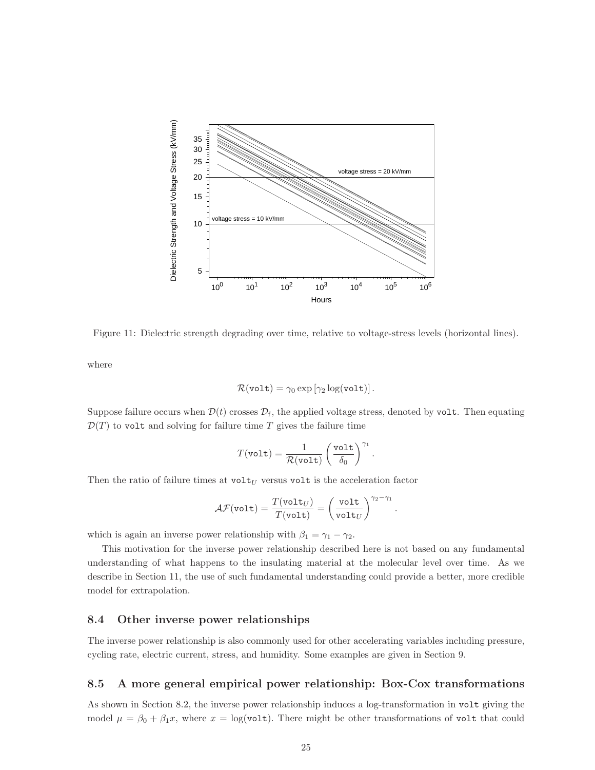

Figure 11: Dielectric strength degrading over time, relative to voltage-stress levels (horizontal lines).

where

$$
\mathcal{R}(\texttt{volt}) = \gamma_0 \exp \left[ \gamma_2 \log(\texttt{volt}) \right].
$$

Suppose failure occurs when  $\mathcal{D}(t)$  crosses  $\mathcal{D}_{\rm f}$ , the applied voltage stress, denoted by volt. Then equating  $\mathcal{D}(T)$  to volt and solving for failure time T gives the failure time

$$
T(\text{volt}) = \frac{1}{\mathcal{R}(\text{volt})} \left(\frac{\text{volt}}{\delta_0}\right)^{\gamma_1}.
$$

Then the ratio of failure times at  $\text{volt}_U$  versus volt is the acceleration factor

$$
\mathcal{AF}(\texttt{volt}) = \frac{T(\texttt{volt}_U)}{T(\texttt{volt})} = \left(\frac{\texttt{volt}}{\texttt{volt}_U}\right)^{\gamma_2 - \gamma_1}
$$

.

which is again an inverse power relationship with  $\beta_1 = \gamma_1 - \gamma_2$ .

This motivation for the inverse power relationship described here is not based on any fundamental understanding of what happens to the insulating material at the molecular level over time. As we describe in Section 11, the use of such fundamental understanding could provide a better, more credible model for extrapolation.

# 8.4 Other inverse power relationships

The inverse power relationship is also commonly used for other accelerating variables including pressure, cycling rate, electric current, stress, and humidity. Some examples are given in Section 9.

# 8.5 A more general empirical power relationship: Box-Cox transformations

As shown in Section 8.2, the inverse power relationship induces a log-transformation in volt giving the model  $\mu = \beta_0 + \beta_1 x$ , where  $x = \log(\text{volt})$ . There might be other transformations of volt that could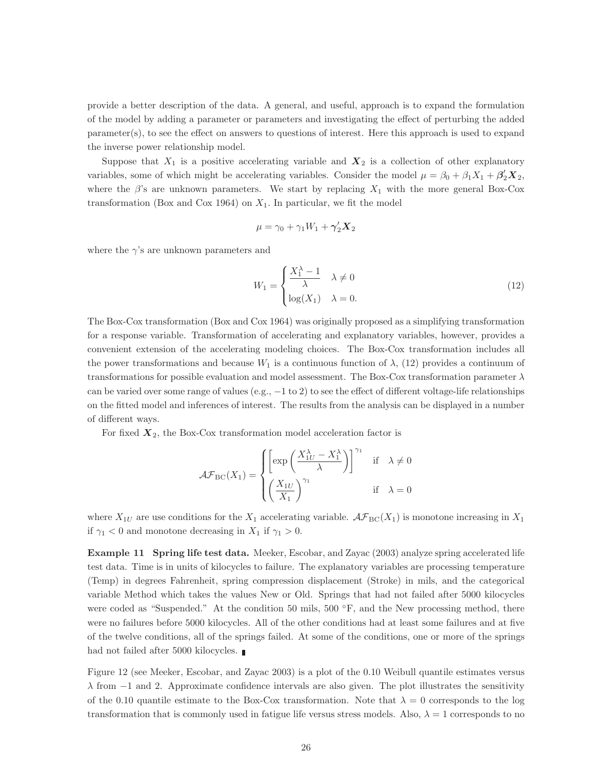provide a better description of the data. A general, and useful, approach is to expand the formulation of the model by adding a parameter or parameters and investigating the effect of perturbing the added parameter(s), to see the effect on answers to questions of interest. Here this approach is used to expand the inverse power relationship model.

Suppose that  $X_1$  is a positive accelerating variable and  $X_2$  is a collection of other explanatory variables, some of which might be accelerating variables. Consider the model  $\mu = \beta_0 + \beta_1 X_1 + \beta_2' X_2$ , where the  $\beta$ 's are unknown parameters. We start by replacing  $X_1$  with the more general Box-Cox transformation (Box and Cox 1964) on  $X_1$ . In particular, we fit the model

$$
\mu = \gamma_0 + \gamma_1 W_1 + \gamma_2' \mathbf{X}_2
$$

where the  $\gamma$ 's are unknown parameters and

$$
W_1 = \begin{cases} \frac{X_1^{\lambda} - 1}{\lambda} & \lambda \neq 0\\ \log(X_1) & \lambda = 0. \end{cases}
$$
 (12)

The Box-Cox transformation (Box and Cox 1964) was originally proposed as a simplifying transformation for a response variable. Transformation of accelerating and explanatory variables, however, provides a convenient extension of the accelerating modeling choices. The Box-Cox transformation includes all the power transformations and because  $W_1$  is a continuous function of  $\lambda$ , (12) provides a continuum of transformations for possible evaluation and model assessment. The Box-Cox transformation parameter  $\lambda$ can be varied over some range of values (e.g.,  $-1$  to 2) to see the effect of different voltage-life relationships on the fitted model and inferences of interest. The results from the analysis can be displayed in a number of different ways.

For fixed  $X_2$ , the Box-Cox transformation model acceleration factor is

$$
\mathcal{A}\mathcal{F}_{\text{BC}}(X_1) = \begin{cases} \left[ \exp\left(\frac{X_{1U}^{\lambda} - X_1^{\lambda}}{\lambda}\right) \right]^{\gamma_1} & \text{if } \lambda \neq 0\\ \left(\frac{X_{1U}}{X_1}\right)^{\gamma_1} & \text{if } \lambda = 0 \end{cases}
$$

where  $X_{1U}$  are use conditions for the  $X_1$  accelerating variable.  $\mathcal{AF}_{BC}(X_1)$  is monotone increasing in  $X_1$ if  $\gamma_1 < 0$  and monotone decreasing in  $X_1$  if  $\gamma_1 > 0$ .

Example 11 Spring life test data. Meeker, Escobar, and Zayac (2003) analyze spring accelerated life test data. Time is in units of kilocycles to failure. The explanatory variables are processing temperature (Temp) in degrees Fahrenheit, spring compression displacement (Stroke) in mils, and the categorical variable Method which takes the values New or Old. Springs that had not failed after 5000 kilocycles were coded as "Suspended." At the condition 50 mils,  $500\text{ °F}$ , and the New processing method, there were no failures before 5000 kilocycles. All of the other conditions had at least some failures and at five of the twelve conditions, all of the springs failed. At some of the conditions, one or more of the springs had not failed after 5000 kilocycles.

Figure 12 (see Meeker, Escobar, and Zayac 2003) is a plot of the 0.10 Weibull quantile estimates versus  $\lambda$  from  $-1$  and 2. Approximate confidence intervals are also given. The plot illustrates the sensitivity of the 0.10 quantile estimate to the Box-Cox transformation. Note that  $\lambda = 0$  corresponds to the log transformation that is commonly used in fatigue life versus stress models. Also,  $\lambda = 1$  corresponds to no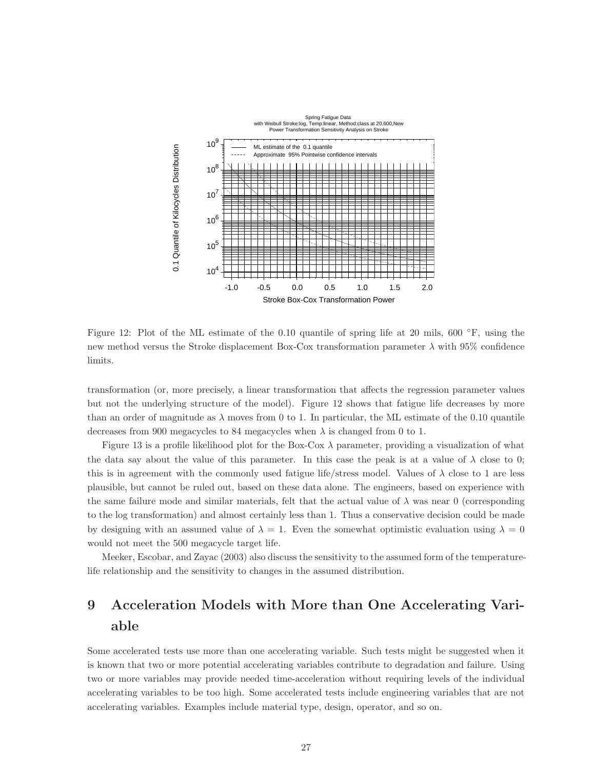

Figure 12: Plot of the ML estimate of the 0.10 quantile of spring life at 20 mils, 600 ◦F, using the new method versus the Stroke displacement Box-Cox transformation parameter  $\lambda$  with 95% confidence limits.

transformation (or, more precisely, a linear transformation that affects the regression parameter values but not the underlying structure of the model). Figure 12 shows that fatigue life decreases by more than an order of magnitude as  $\lambda$  moves from 0 to 1. In particular, the ML estimate of the 0.10 quantile decreases from 900 megacycles to 84 megacycles when  $\lambda$  is changed from 0 to 1.

Figure 13 is a profile likelihood plot for the Box-Cox  $\lambda$  parameter, providing a visualization of what the data say about the value of this parameter. In this case the peak is at a value of  $\lambda$  close to 0; this is in agreement with the commonly used fatigue life/stress model. Values of  $\lambda$  close to 1 are less plausible, but cannot be ruled out, based on these data alone. The engineers, based on experience with the same failure mode and similar materials, felt that the actual value of  $\lambda$  was near 0 (corresponding to the log transformation) and almost certainly less than 1. Thus a conservative decision could be made by designing with an assumed value of  $\lambda = 1$ . Even the somewhat optimistic evaluation using  $\lambda = 0$ would not meet the 500 megacycle target life.

Meeker, Escobar, and Zayac (2003) also discuss the sensitivity to the assumed form of the temperaturelife relationship and the sensitivity to changes in the assumed distribution.

# 9 Acceleration Models with More than One Accelerating Variable

Some accelerated tests use more than one accelerating variable. Such tests might be suggested when it is known that two or more potential accelerating variables contribute to degradation and failure. Using two or more variables may provide needed time-acceleration without requiring levels of the individual accelerating variables to be too high. Some accelerated tests include engineering variables that are not accelerating variables. Examples include material type, design, operator, and so on.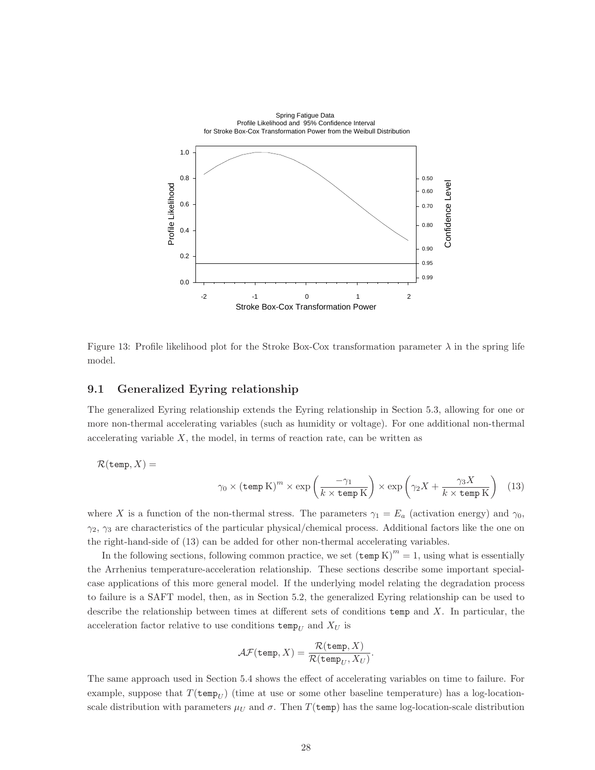

Figure 13: Profile likelihood plot for the Stroke Box-Cox transformation parameter  $\lambda$  in the spring life model.

### 9.1 Generalized Eyring relationship

The generalized Eyring relationship extends the Eyring relationship in Section 5.3, allowing for one or more non-thermal accelerating variables (such as humidity or voltage). For one additional non-thermal accelerating variable  $X$ , the model, in terms of reaction rate, can be written as

$$
\mathcal{R}(\text{temp}, X) =
$$
  
 
$$
\gamma_0 \times (\text{temp K})^m \times \exp\left(\frac{-\gamma_1}{k \times \text{temp K}}\right) \times \exp\left(\gamma_2 X + \frac{\gamma_3 X}{k \times \text{temp K}}\right) \tag{13}
$$

where X is a function of the non-thermal stress. The parameters  $\gamma_1 = E_a$  (activation energy) and  $\gamma_0$ ,  $\gamma_2$ ,  $\gamma_3$  are characteristics of the particular physical/chemical process. Additional factors like the one on the right-hand-side of (13) can be added for other non-thermal accelerating variables.

In the following sections, following common practice, we set  $(\text{temp K})^m = 1$ , using what is essentially the Arrhenius temperature-acceleration relationship. These sections describe some important specialcase applications of this more general model. If the underlying model relating the degradation process to failure is a SAFT model, then, as in Section 5.2, the generalized Eyring relationship can be used to describe the relationship between times at different sets of conditions  $\mathbf{temp}$  and X. In particular, the acceleration factor relative to use conditions  $\text{temp}_U$  and  $X_U$  is

$$
\mathcal{AF}(\mathtt{temp},X) = \frac{\mathcal{R}(\mathtt{temp},X)}{\mathcal{R}(\mathtt{temp}_U,X_U)}.
$$

The same approach used in Section 5.4 shows the effect of accelerating variables on time to failure. For example, suppose that  $T(\text{temp}_{U})$  (time at use or some other baseline temperature) has a log-locationscale distribution with parameters  $\mu_U$  and  $\sigma$ . Then  $T(\text{temp})$  has the same log-location-scale distribution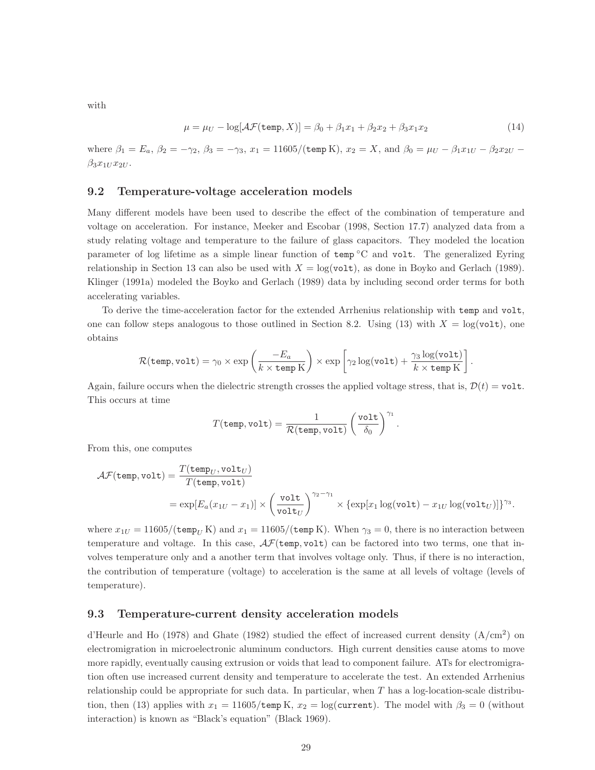with

$$
\mu = \mu_U - \log[\mathcal{AF}(\text{temp}, X)] = \beta_0 + \beta_1 x_1 + \beta_2 x_2 + \beta_3 x_1 x_2 \tag{14}
$$

where  $\beta_1 = E_a$ ,  $\beta_2 = -\gamma_2$ ,  $\beta_3 = -\gamma_3$ ,  $x_1 = 11605/(\text{temp K})$ ,  $x_2 = X$ , and  $\beta_0 = \mu_U - \beta_1 x_{1U} - \beta_2 x_{2U} - \beta_3 x_{2U}$  $\beta_3x_{1U}x_{2U}$ .

# 9.2 Temperature-voltage acceleration models

Many different models have been used to describe the effect of the combination of temperature and voltage on acceleration. For instance, Meeker and Escobar (1998, Section 17.7) analyzed data from a study relating voltage and temperature to the failure of glass capacitors. They modeled the location parameter of log lifetime as a simple linear function of temp °C and volt. The generalized Eyring relationship in Section 13 can also be used with  $X = \log(\text{volt})$ , as done in Boyko and Gerlach (1989). Klinger (1991a) modeled the Boyko and Gerlach (1989) data by including second order terms for both accelerating variables.

To derive the time-acceleration factor for the extended Arrhenius relationship with temp and volt, one can follow steps analogous to those outlined in Section 8.2. Using (13) with  $X = \log(\text{volt})$ , one obtains

$$
\mathcal{R}(\mathtt{temp},\mathtt{volt}) = \gamma_0 \times \exp\left(\frac{-E_a}{k \times \mathtt{temp}\, \mathrm{K}}\right) \times \exp\left[\gamma_2 \log(\mathtt{volt}) + \frac{\gamma_3 \log(\mathtt{volt})}{k \times \mathtt{temp}\, \mathrm{K}}\right].
$$

Again, failure occurs when the dielectric strength crosses the applied voltage stress, that is,  $\mathcal{D}(t) = \text{volt}$ . This occurs at time

$$
T(\text{temp}, \text{volt}) = \frac{1}{\mathcal{R}(\text{temp}, \text{volt})} \left(\frac{\text{volt}}{\delta_0}\right)^{\gamma_1}.
$$

From this, one computes

$$
\mathcal{AF}(\texttt{temp}, \texttt{volt}) = \frac{T(\texttt{temp}_U, \texttt{volt}_U)}{T(\texttt{temp}, \texttt{volt})}
$$
  
= 
$$
\exp[E_a(x_{1U} - x_1)] \times \left(\frac{\texttt{volt}}{\texttt{volt}_U}\right)^{\gamma_2 - \gamma_1} \times {\texttt{exp}[x_1 \log(\texttt{volt}) - x_{1U} \log(\texttt{volt}_U)]}\gamma_3.
$$

where  $x_{1U} = 11605/(\text{temp}_U \text{K})$  and  $x_1 = 11605/(\text{temp K})$ . When  $\gamma_3 = 0$ , there is no interaction between temperature and voltage. In this case,  $\mathcal{AF}$ (temp, volt) can be factored into two terms, one that involves temperature only and a another term that involves voltage only. Thus, if there is no interaction, the contribution of temperature (voltage) to acceleration is the same at all levels of voltage (levels of temperature).

#### 9.3 Temperature-current density acceleration models

d'Heurle and Ho (1978) and Ghate (1982) studied the effect of increased current density (A/cm<sup>2</sup> ) on electromigration in microelectronic aluminum conductors. High current densities cause atoms to move more rapidly, eventually causing extrusion or voids that lead to component failure. ATs for electromigration often use increased current density and temperature to accelerate the test. An extended Arrhenius relationship could be appropriate for such data. In particular, when T has a log-location-scale distribution, then (13) applies with  $x_1 = 11605/\text{temp K}$ ,  $x_2 = \log(\text{current})$ . The model with  $\beta_3 = 0$  (without interaction) is known as "Black's equation" (Black 1969).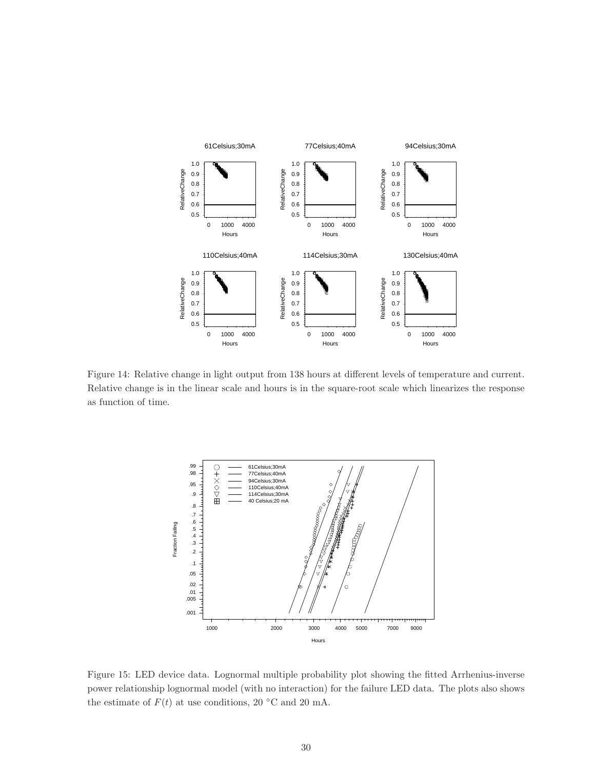

Figure 14: Relative change in light output from 138 hours at different levels of temperature and current. Relative change is in the linear scale and hours is in the square-root scale which linearizes the response as function of time.



Figure 15: LED device data. Lognormal multiple probability plot showing the fitted Arrhenius-inverse power relationship lognormal model (with no interaction) for the failure LED data. The plots also shows the estimate of  $F(t)$  at use conditions, 20 °C and 20 mA.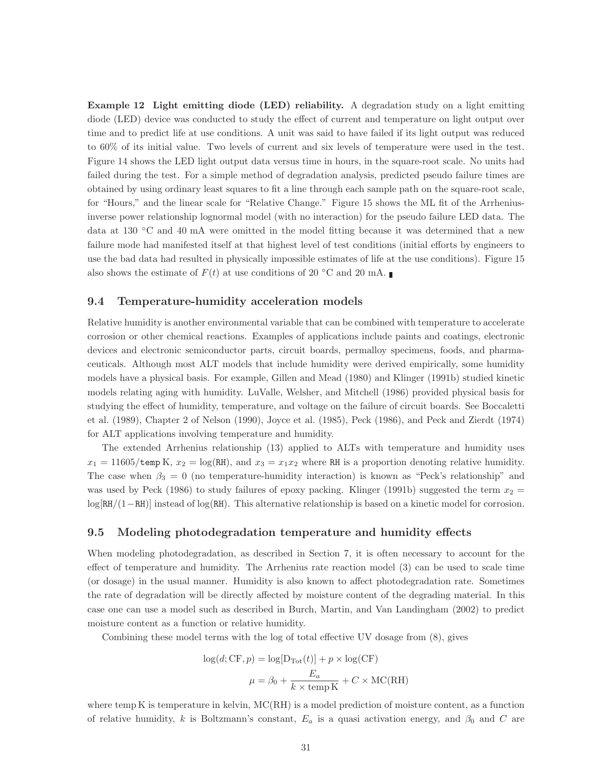Example 12 Light emitting diode (LED) reliability. A degradation study on a light emitting diode (LED) device was conducted to study the effect of current and temperature on light output over time and to predict life at use conditions. A unit was said to have failed if its light output was reduced to 60% of its initial value. Two levels of current and six levels of temperature were used in the test. Figure 14 shows the LED light output data versus time in hours, in the square-root scale. No units had failed during the test. For a simple method of degradation analysis, predicted pseudo failure times are obtained by using ordinary least squares to fit a line through each sample path on the square-root scale, for "Hours," and the linear scale for "Relative Change." Figure 15 shows the ML fit of the Arrheniusinverse power relationship lognormal model (with no interaction) for the pseudo failure LED data. The data at 130 ◦C and 40 mA were omitted in the model fitting because it was determined that a new failure mode had manifested itself at that highest level of test conditions (initial efforts by engineers to use the bad data had resulted in physically impossible estimates of life at the use conditions). Figure 15 also shows the estimate of  $F(t)$  at use conditions of 20 °C and 20 mA.

## 9.4 Temperature-humidity acceleration models

Relative humidity is another environmental variable that can be combined with temperature to accelerate corrosion or other chemical reactions. Examples of applications include paints and coatings, electronic devices and electronic semiconductor parts, circuit boards, permalloy specimens, foods, and pharmaceuticals. Although most ALT models that include humidity were derived empirically, some humidity models have a physical basis. For example, Gillen and Mead (1980) and Klinger (1991b) studied kinetic models relating aging with humidity. LuValle, Welsher, and Mitchell (1986) provided physical basis for studying the effect of humidity, temperature, and voltage on the failure of circuit boards. See Boccaletti et al. (1989), Chapter 2 of Nelson (1990), Joyce et al. (1985), Peck (1986), and Peck and Zierdt (1974) for ALT applications involving temperature and humidity.

The extended Arrhenius relationship (13) applied to ALTs with temperature and humidity uses  $x_1 = 11605/\text{temp K}$ ,  $x_2 = \log(\text{RH})$ , and  $x_3 = x_1x_2$  where RH is a proportion denoting relative humidity. The case when  $\beta_3 = 0$  (no temperature-humidity interaction) is known as "Peck's relationship" and was used by Peck (1986) to study failures of epoxy packing. Klinger (1991b) suggested the term  $x_2 =$ log[RH/(1−RH)] instead of log(RH). This alternative relationship is based on a kinetic model for corrosion.

#### 9.5 Modeling photodegradation temperature and humidity effects

When modeling photodegradation, as described in Section 7, it is often necessary to account for the effect of temperature and humidity. The Arrhenius rate reaction model (3) can be used to scale time (or dosage) in the usual manner. Humidity is also known to affect photodegradation rate. Sometimes the rate of degradation will be directly affected by moisture content of the degrading material. In this case one can use a model such as described in Burch, Martin, and Van Landingham (2002) to predict moisture content as a function or relative humidity.

Combining these model terms with the log of total effective UV dosage from (8), gives

$$
log(d; CF, p) = log[D_{Tot}(t)] + p \times log(CF)
$$

$$
\mu = \beta_0 + \frac{E_a}{k \times temp K} + C \times MC(RH)
$$

where temp K is temperature in kelvin, MC(RH) is a model prediction of moisture content, as a function of relative humidity, k is Boltzmann's constant,  $E_a$  is a quasi activation energy, and  $\beta_0$  and C are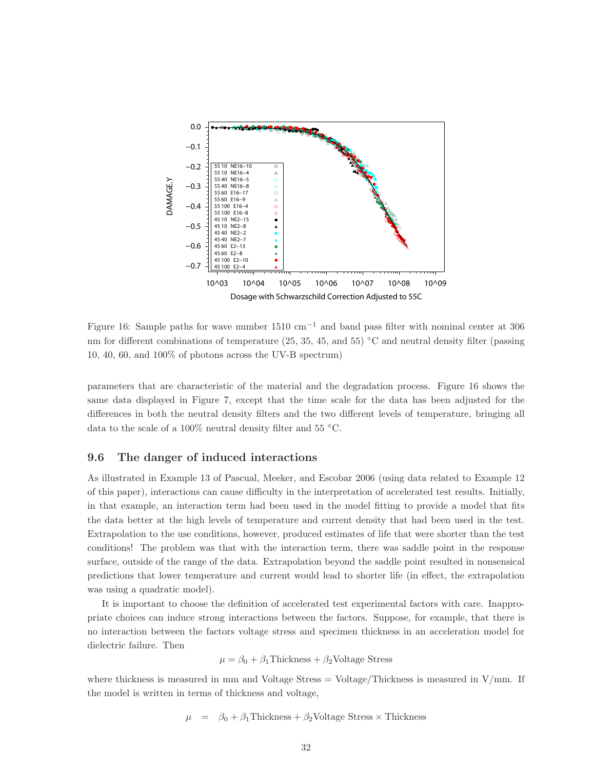

Figure 16: Sample paths for wave number  $1510 \text{ cm}^{-1}$  and band pass filter with nominal center at 306 nm for different combinations of temperature (25, 35, 45, and 55) °C and neutral density filter (passing 10, 40, 60, and 100% of photons across the UV-B spectrum)

parameters that are characteristic of the material and the degradation process. Figure 16 shows the same data displayed in Figure 7, except that the time scale for the data has been adjusted for the differences in both the neutral density filters and the two different levels of temperature, bringing all data to the scale of a 100% neutral density filter and 55  $\degree$ C.

### 9.6 The danger of induced interactions

As illustrated in Example 13 of Pascual, Meeker, and Escobar 2006 (using data related to Example 12 of this paper), interactions can cause difficulty in the interpretation of accelerated test results. Initially, in that example, an interaction term had been used in the model fitting to provide a model that fits the data better at the high levels of temperature and current density that had been used in the test. Extrapolation to the use conditions, however, produced estimates of life that were shorter than the test conditions! The problem was that with the interaction term, there was saddle point in the response surface, outside of the range of the data. Extrapolation beyond the saddle point resulted in nonsensical predictions that lower temperature and current would lead to shorter life (in effect, the extrapolation was using a quadratic model).

It is important to choose the definition of accelerated test experimental factors with care. Inappropriate choices can induce strong interactions between the factors. Suppose, for example, that there is no interaction between the factors voltage stress and specimen thickness in an acceleration model for dielectric failure. Then

$$
\mu = \beta_0 + \beta_1
$$
Thickness +  $\beta_2$ Voltage Stress

where thickness is measured in mm and Voltage Stress = Voltage/Thickness is measured in  $V/mm$ . If the model is written in terms of thickness and voltage,

$$
\mu = \beta_0 + \beta_1
$$
Thickness +  $\beta_2$ Voltage Stress × Thickness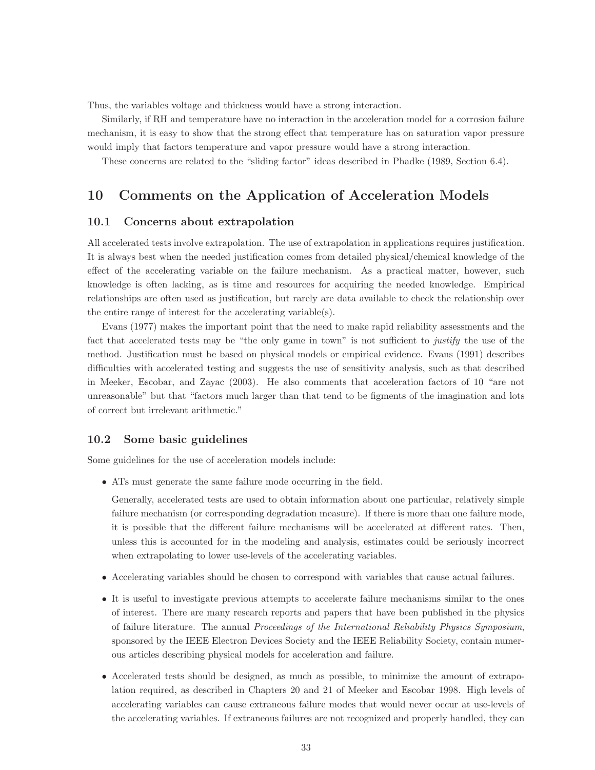Thus, the variables voltage and thickness would have a strong interaction.

Similarly, if RH and temperature have no interaction in the acceleration model for a corrosion failure mechanism, it is easy to show that the strong effect that temperature has on saturation vapor pressure would imply that factors temperature and vapor pressure would have a strong interaction.

These concerns are related to the "sliding factor" ideas described in Phadke (1989, Section 6.4).

# 10 Comments on the Application of Acceleration Models

# 10.1 Concerns about extrapolation

All accelerated tests involve extrapolation. The use of extrapolation in applications requires justification. It is always best when the needed justification comes from detailed physical/chemical knowledge of the effect of the accelerating variable on the failure mechanism. As a practical matter, however, such knowledge is often lacking, as is time and resources for acquiring the needed knowledge. Empirical relationships are often used as justification, but rarely are data available to check the relationship over the entire range of interest for the accelerating variable(s).

Evans (1977) makes the important point that the need to make rapid reliability assessments and the fact that accelerated tests may be "the only game in town" is not sufficient to *justify* the use of the method. Justification must be based on physical models or empirical evidence. Evans (1991) describes difficulties with accelerated testing and suggests the use of sensitivity analysis, such as that described in Meeker, Escobar, and Zayac (2003). He also comments that acceleration factors of 10 "are not unreasonable" but that "factors much larger than that tend to be figments of the imagination and lots of correct but irrelevant arithmetic."

## 10.2 Some basic guidelines

Some guidelines for the use of acceleration models include:

• ATs must generate the same failure mode occurring in the field.

Generally, accelerated tests are used to obtain information about one particular, relatively simple failure mechanism (or corresponding degradation measure). If there is more than one failure mode, it is possible that the different failure mechanisms will be accelerated at different rates. Then, unless this is accounted for in the modeling and analysis, estimates could be seriously incorrect when extrapolating to lower use-levels of the accelerating variables.

- Accelerating variables should be chosen to correspond with variables that cause actual failures.
- It is useful to investigate previous attempts to accelerate failure mechanisms similar to the ones of interest. There are many research reports and papers that have been published in the physics of failure literature. The annual Proceedings of the International Reliability Physics Symposium, sponsored by the IEEE Electron Devices Society and the IEEE Reliability Society, contain numerous articles describing physical models for acceleration and failure.
- Accelerated tests should be designed, as much as possible, to minimize the amount of extrapolation required, as described in Chapters 20 and 21 of Meeker and Escobar 1998. High levels of accelerating variables can cause extraneous failure modes that would never occur at use-levels of the accelerating variables. If extraneous failures are not recognized and properly handled, they can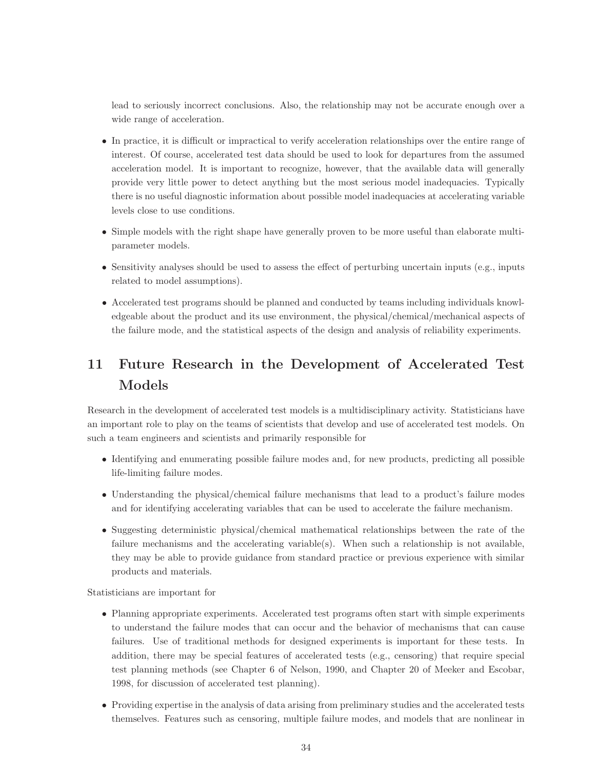lead to seriously incorrect conclusions. Also, the relationship may not be accurate enough over a wide range of acceleration.

- In practice, it is difficult or impractical to verify acceleration relationships over the entire range of interest. Of course, accelerated test data should be used to look for departures from the assumed acceleration model. It is important to recognize, however, that the available data will generally provide very little power to detect anything but the most serious model inadequacies. Typically there is no useful diagnostic information about possible model inadequacies at accelerating variable levels close to use conditions.
- Simple models with the right shape have generally proven to be more useful than elaborate multiparameter models.
- Sensitivity analyses should be used to assess the effect of perturbing uncertain inputs (e.g., inputs related to model assumptions).
- Accelerated test programs should be planned and conducted by teams including individuals knowledgeable about the product and its use environment, the physical/chemical/mechanical aspects of the failure mode, and the statistical aspects of the design and analysis of reliability experiments.

# 11 Future Research in the Development of Accelerated Test Models

Research in the development of accelerated test models is a multidisciplinary activity. Statisticians have an important role to play on the teams of scientists that develop and use of accelerated test models. On such a team engineers and scientists and primarily responsible for

- Identifying and enumerating possible failure modes and, for new products, predicting all possible life-limiting failure modes.
- Understanding the physical/chemical failure mechanisms that lead to a product's failure modes and for identifying accelerating variables that can be used to accelerate the failure mechanism.
- Suggesting deterministic physical/chemical mathematical relationships between the rate of the failure mechanisms and the accelerating variable(s). When such a relationship is not available, they may be able to provide guidance from standard practice or previous experience with similar products and materials.

Statisticians are important for

- Planning appropriate experiments. Accelerated test programs often start with simple experiments to understand the failure modes that can occur and the behavior of mechanisms that can cause failures. Use of traditional methods for designed experiments is important for these tests. In addition, there may be special features of accelerated tests (e.g., censoring) that require special test planning methods (see Chapter 6 of Nelson, 1990, and Chapter 20 of Meeker and Escobar, 1998, for discussion of accelerated test planning).
- Providing expertise in the analysis of data arising from preliminary studies and the accelerated tests themselves. Features such as censoring, multiple failure modes, and models that are nonlinear in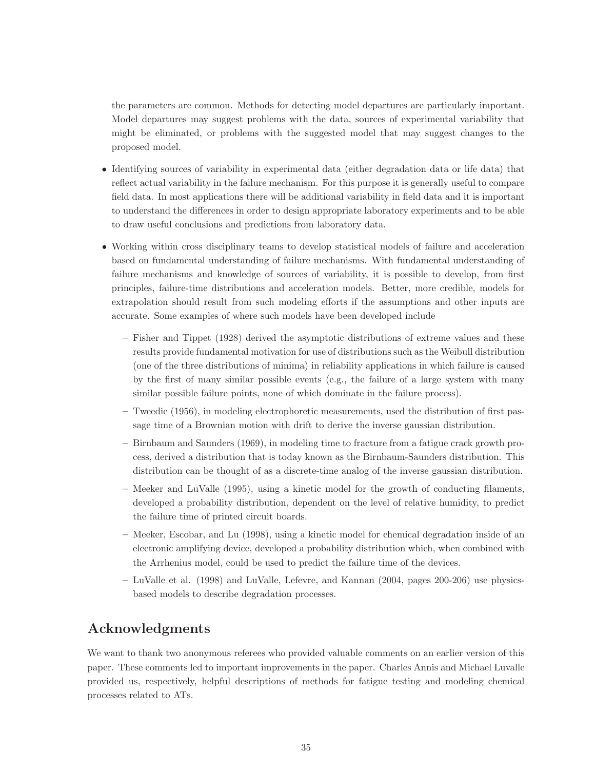the parameters are common. Methods for detecting model departures are particularly important. Model departures may suggest problems with the data, sources of experimental variability that might be eliminated, or problems with the suggested model that may suggest changes to the proposed model.

- Identifying sources of variability in experimental data (either degradation data or life data) that reflect actual variability in the failure mechanism. For this purpose it is generally useful to compare field data. In most applications there will be additional variability in field data and it is important to understand the differences in order to design appropriate laboratory experiments and to be able to draw useful conclusions and predictions from laboratory data.
- Working within cross disciplinary teams to develop statistical models of failure and acceleration based on fundamental understanding of failure mechanisms. With fundamental understanding of failure mechanisms and knowledge of sources of variability, it is possible to develop, from first principles, failure-time distributions and acceleration models. Better, more credible, models for extrapolation should result from such modeling efforts if the assumptions and other inputs are accurate. Some examples of where such models have been developed include
	- Fisher and Tippet (1928) derived the asymptotic distributions of extreme values and these results provide fundamental motivation for use of distributions such as the Weibull distribution (one of the three distributions of minima) in reliability applications in which failure is caused by the first of many similar possible events (e.g., the failure of a large system with many similar possible failure points, none of which dominate in the failure process).
	- Tweedie (1956), in modeling electrophoretic measurements, used the distribution of first passage time of a Brownian motion with drift to derive the inverse gaussian distribution.
	- Birnbaum and Saunders (1969), in modeling time to fracture from a fatigue crack growth process, derived a distribution that is today known as the Birnbaum-Saunders distribution. This distribution can be thought of as a discrete-time analog of the inverse gaussian distribution.
	- Meeker and LuValle (1995), using a kinetic model for the growth of conducting filaments, developed a probability distribution, dependent on the level of relative humidity, to predict the failure time of printed circuit boards.
	- Meeker, Escobar, and Lu (1998), using a kinetic model for chemical degradation inside of an electronic amplifying device, developed a probability distribution which, when combined with the Arrhenius model, could be used to predict the failure time of the devices.
	- LuValle et al. (1998) and LuValle, Lefevre, and Kannan (2004, pages 200-206) use physicsbased models to describe degradation processes.

# Acknowledgments

We want to thank two anonymous referees who provided valuable comments on an earlier version of this paper. These comments led to important improvements in the paper. Charles Annis and Michael Luvalle provided us, respectively, helpful descriptions of methods for fatigue testing and modeling chemical processes related to ATs.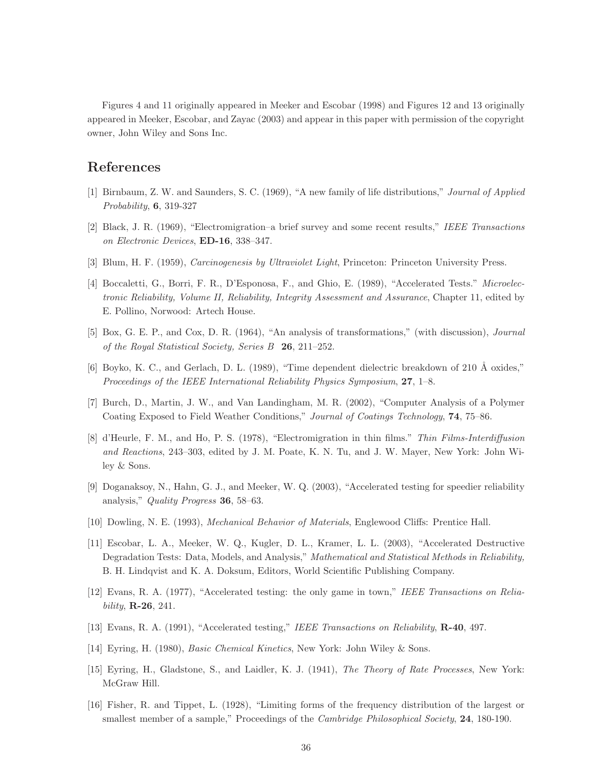Figures 4 and 11 originally appeared in Meeker and Escobar (1998) and Figures 12 and 13 originally appeared in Meeker, Escobar, and Zayac (2003) and appear in this paper with permission of the copyright owner, John Wiley and Sons Inc.

# References

- [1] Birnbaum, Z. W. and Saunders, S. C. (1969), "A new family of life distributions," Journal of Applied Probability, 6, 319-327
- [2] Black, J. R. (1969), "Electromigration–a brief survey and some recent results," IEEE Transactions on Electronic Devices, ED-16, 338–347.
- [3] Blum, H. F. (1959), Carcinogenesis by Ultraviolet Light, Princeton: Princeton University Press.
- [4] Boccaletti, G., Borri, F. R., D'Esponosa, F., and Ghio, E. (1989), "Accelerated Tests." Microelectronic Reliability, Volume II, Reliability, Integrity Assessment and Assurance, Chapter 11, edited by E. Pollino, Norwood: Artech House.
- [5] Box, G. E. P., and Cox, D. R. (1964), "An analysis of transformations," (with discussion), Journal of the Royal Statistical Society, Series B 26, 211–252.
- [6] Boyko, K. C., and Gerlach, D. L. (1989), "Time dependent dielectric breakdown of 210 Å oxides," Proceedings of the IEEE International Reliability Physics Symposium, 27, 1–8.
- [7] Burch, D., Martin, J. W., and Van Landingham, M. R. (2002), "Computer Analysis of a Polymer Coating Exposed to Field Weather Conditions," Journal of Coatings Technology, 74, 75–86.
- [8] d'Heurle, F. M., and Ho, P. S. (1978), "Electromigration in thin films." Thin Films-Interdiffusion and Reactions, 243–303, edited by J. M. Poate, K. N. Tu, and J. W. Mayer, New York: John Wiley & Sons.
- [9] Doganaksoy, N., Hahn, G. J., and Meeker, W. Q. (2003), "Accelerated testing for speedier reliability analysis," Quality Progress 36, 58–63.
- [10] Dowling, N. E. (1993), Mechanical Behavior of Materials, Englewood Cliffs: Prentice Hall.
- [11] Escobar, L. A., Meeker, W. Q., Kugler, D. L., Kramer, L. L. (2003), "Accelerated Destructive Degradation Tests: Data, Models, and Analysis," Mathematical and Statistical Methods in Reliability, B. H. Lindqvist and K. A. Doksum, Editors, World Scientific Publishing Company.
- [12] Evans, R. A. (1977), "Accelerated testing: the only game in town," IEEE Transactions on Reliability, **R-26**, 241.
- [13] Evans, R. A. (1991), "Accelerated testing," IEEE Transactions on Reliability, R-40, 497.
- [14] Eyring, H. (1980), Basic Chemical Kinetics, New York: John Wiley & Sons.
- [15] Eyring, H., Gladstone, S., and Laidler, K. J. (1941), The Theory of Rate Processes, New York: McGraw Hill.
- [16] Fisher, R. and Tippet, L. (1928), "Limiting forms of the frequency distribution of the largest or smallest member of a sample," Proceedings of the *Cambridge Philosophical Society*, **24**, 180-190.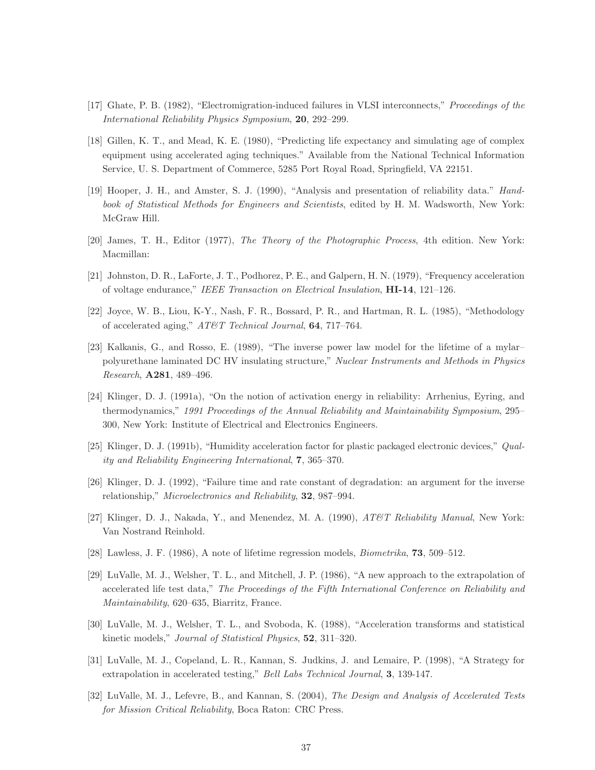- [17] Ghate, P. B. (1982), "Electromigration-induced failures in VLSI interconnects," Proceedings of the International Reliability Physics Symposium, 20, 292–299.
- [18] Gillen, K. T., and Mead, K. E. (1980), "Predicting life expectancy and simulating age of complex equipment using accelerated aging techniques." Available from the National Technical Information Service, U. S. Department of Commerce, 5285 Port Royal Road, Springfield, VA 22151.
- [19] Hooper, J. H., and Amster, S. J. (1990), "Analysis and presentation of reliability data." Handbook of Statistical Methods for Engineers and Scientists, edited by H. M. Wadsworth, New York: McGraw Hill.
- [20] James, T. H., Editor (1977), The Theory of the Photographic Process, 4th edition. New York: Macmillan:
- [21] Johnston, D. R., LaForte, J. T., Podhorez, P. E., and Galpern, H. N. (1979), "Frequency acceleration of voltage endurance," IEEE Transaction on Electrical Insulation, HI-14, 121–126.
- [22] Joyce, W. B., Liou, K-Y., Nash, F. R., Bossard, P. R., and Hartman, R. L. (1985), "Methodology of accelerated aging," AT&T Technical Journal, 64, 717–764.
- [23] Kalkanis, G., and Rosso, E. (1989), "The inverse power law model for the lifetime of a mylar– polyurethane laminated DC HV insulating structure," Nuclear Instruments and Methods in Physics Research, A281, 489–496.
- [24] Klinger, D. J. (1991a), "On the notion of activation energy in reliability: Arrhenius, Eyring, and thermodynamics," 1991 Proceedings of the Annual Reliability and Maintainability Symposium, 295– 300, New York: Institute of Electrical and Electronics Engineers.
- [25] Klinger, D. J. (1991b), "Humidity acceleration factor for plastic packaged electronic devices," Quality and Reliability Engineering International, 7, 365–370.
- [26] Klinger, D. J. (1992), "Failure time and rate constant of degradation: an argument for the inverse relationship," Microelectronics and Reliability, 32, 987–994.
- [27] Klinger, D. J., Nakada, Y., and Menendez, M. A. (1990),  $AT\&T$  Reliability Manual, New York: Van Nostrand Reinhold.
- [28] Lawless, J. F. (1986), A note of lifetime regression models, Biometrika, 73, 509–512.
- [29] LuValle, M. J., Welsher, T. L., and Mitchell, J. P. (1986), "A new approach to the extrapolation of accelerated life test data," The Proceedings of the Fifth International Conference on Reliability and Maintainability, 620–635, Biarritz, France.
- [30] LuValle, M. J., Welsher, T. L., and Svoboda, K. (1988), "Acceleration transforms and statistical kinetic models," Journal of Statistical Physics, 52, 311–320.
- [31] LuValle, M. J., Copeland, L. R., Kannan, S. Judkins, J. and Lemaire, P. (1998), "A Strategy for extrapolation in accelerated testing," Bell Labs Technical Journal, 3, 139-147.
- [32] LuValle, M. J., Lefevre, B., and Kannan, S. (2004), The Design and Analysis of Accelerated Tests for Mission Critical Reliability, Boca Raton: CRC Press.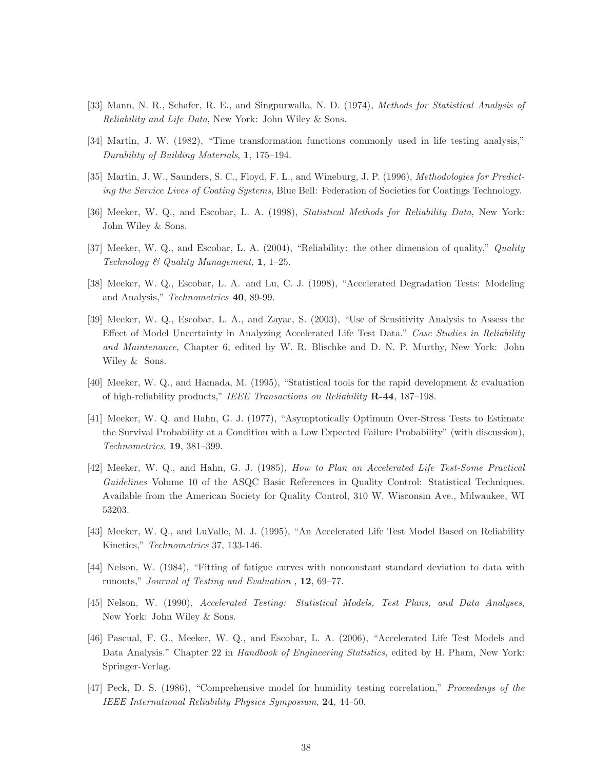- [33] Mann, N. R., Schafer, R. E., and Singpurwalla, N. D. (1974), Methods for Statistical Analysis of Reliability and Life Data, New York: John Wiley & Sons.
- [34] Martin, J. W. (1982), "Time transformation functions commonly used in life testing analysis," Durability of Building Materials, 1, 175–194.
- [35] Martin, J. W., Saunders, S. C., Floyd, F. L., and Wineburg, J. P. (1996), Methodologies for Predicting the Service Lives of Coating Systems, Blue Bell: Federation of Societies for Coatings Technology.
- [36] Meeker, W. Q., and Escobar, L. A. (1998), Statistical Methods for Reliability Data, New York: John Wiley & Sons.
- [37] Meeker, W. Q., and Escobar, L. A. (2004), "Reliability: the other dimension of quality," Quality Technology & Quality Management,  $1, 1-25$ .
- [38] Meeker, W. Q., Escobar, L. A. and Lu, C. J. (1998), "Accelerated Degradation Tests: Modeling and Analysis," Technometrics 40, 89-99.
- [39] Meeker, W. Q., Escobar, L. A., and Zayac, S. (2003), "Use of Sensitivity Analysis to Assess the Effect of Model Uncertainty in Analyzing Accelerated Life Test Data." Case Studies in Reliability and Maintenance, Chapter 6, edited by W. R. Blischke and D. N. P. Murthy, New York: John Wiley & Sons.
- [40] Meeker, W. Q., and Hamada, M. (1995), "Statistical tools for the rapid development & evaluation of high-reliability products," IEEE Transactions on Reliability R-44, 187–198.
- [41] Meeker, W. Q. and Hahn, G. J. (1977), "Asymptotically Optimum Over-Stress Tests to Estimate the Survival Probability at a Condition with a Low Expected Failure Probability" (with discussion), Technometrics, 19, 381–399.
- [42] Meeker, W. Q., and Hahn, G. J. (1985), How to Plan an Accelerated Life Test-Some Practical Guidelines Volume 10 of the ASQC Basic References in Quality Control: Statistical Techniques. Available from the American Society for Quality Control, 310 W. Wisconsin Ave., Milwaukee, WI 53203.
- [43] Meeker, W. Q., and LuValle, M. J. (1995), "An Accelerated Life Test Model Based on Reliability Kinetics," Technometrics 37, 133-146.
- [44] Nelson, W. (1984), "Fitting of fatigue curves with nonconstant standard deviation to data with runouts," Journal of Testing and Evaluation , 12, 69–77.
- [45] Nelson, W. (1990), Accelerated Testing: Statistical Models, Test Plans, and Data Analyses, New York: John Wiley & Sons.
- [46] Pascual, F. G., Meeker, W. Q., and Escobar, L. A. (2006), "Accelerated Life Test Models and Data Analysis." Chapter 22 in Handbook of Engineering Statistics, edited by H. Pham, New York: Springer-Verlag.
- [47] Peck, D. S. (1986), "Comprehensive model for humidity testing correlation," Proceedings of the IEEE International Reliability Physics Symposium, 24, 44–50.